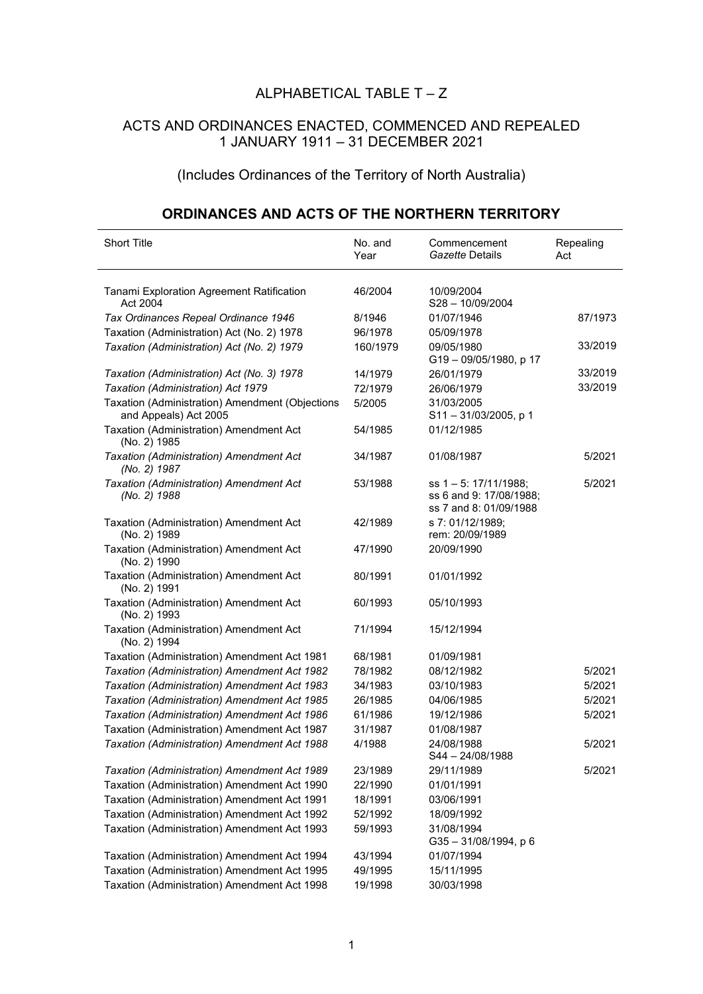## ALPHABETICAL TABLE  $T - Z$

## ACTS AND ORDINANCES ENACTED, COMMENCED AND REPEALED 1 JANUARY 1911 – 31 DECEMBER 2021

## (Includes Ordinances of the Territory of North Australia)

## **ORDINANCES AND ACTS OF THE NORTHERN TERRITORY**

| <b>Short Title</b>                                                       | No. and<br>Year | Commencement<br>Gazette Details                                               | Repealing<br>Act |
|--------------------------------------------------------------------------|-----------------|-------------------------------------------------------------------------------|------------------|
| Tanami Exploration Agreement Ratification<br>Act 2004                    | 46/2004         | 10/09/2004<br>S28-10/09/2004                                                  |                  |
| Tax Ordinances Repeal Ordinance 1946                                     | 8/1946          | 01/07/1946                                                                    | 87/1973          |
| Taxation (Administration) Act (No. 2) 1978                               | 96/1978         | 05/09/1978                                                                    |                  |
| Taxation (Administration) Act (No. 2) 1979                               | 160/1979        | 09/05/1980<br>G19-09/05/1980, p 17                                            | 33/2019          |
| Taxation (Administration) Act (No. 3) 1978                               | 14/1979         | 26/01/1979                                                                    | 33/2019          |
| Taxation (Administration) Act 1979                                       | 72/1979         | 26/06/1979                                                                    | 33/2019          |
| Taxation (Administration) Amendment (Objections<br>and Appeals) Act 2005 | 5/2005          | 31/03/2005<br>S11-31/03/2005, p 1                                             |                  |
| Taxation (Administration) Amendment Act<br>(No. 2) 1985                  | 54/1985         | 01/12/1985                                                                    |                  |
| Taxation (Administration) Amendment Act<br>(No. 2) 1987                  | 34/1987         | 01/08/1987                                                                    | 5/2021           |
| Taxation (Administration) Amendment Act<br>(No. 2) 1988                  | 53/1988         | ss $1 - 5$ : 17/11/1988;<br>ss 6 and 9: 17/08/1988:<br>ss 7 and 8: 01/09/1988 | 5/2021           |
| Taxation (Administration) Amendment Act<br>(No. 2) 1989                  | 42/1989         | s 7: 01/12/1989;<br>rem: 20/09/1989                                           |                  |
| Taxation (Administration) Amendment Act<br>(No. 2) 1990                  | 47/1990         | 20/09/1990                                                                    |                  |
| Taxation (Administration) Amendment Act<br>(No. 2) 1991                  | 80/1991         | 01/01/1992                                                                    |                  |
| Taxation (Administration) Amendment Act<br>(No. 2) 1993                  | 60/1993         | 05/10/1993                                                                    |                  |
| Taxation (Administration) Amendment Act<br>(No. 2) 1994                  | 71/1994         | 15/12/1994                                                                    |                  |
| Taxation (Administration) Amendment Act 1981                             | 68/1981         | 01/09/1981                                                                    |                  |
| Taxation (Administration) Amendment Act 1982                             | 78/1982         | 08/12/1982                                                                    | 5/2021           |
| Taxation (Administration) Amendment Act 1983                             | 34/1983         | 03/10/1983                                                                    | 5/2021           |
| Taxation (Administration) Amendment Act 1985                             | 26/1985         | 04/06/1985                                                                    | 5/2021           |
| Taxation (Administration) Amendment Act 1986                             | 61/1986         | 19/12/1986                                                                    | 5/2021           |
| Taxation (Administration) Amendment Act 1987                             | 31/1987         | 01/08/1987                                                                    |                  |
| Taxation (Administration) Amendment Act 1988                             | 4/1988          | 24/08/1988<br>$S44 - 24/08/1988$                                              | 5/2021           |
| Taxation (Administration) Amendment Act 1989                             | 23/1989         | 29/11/1989                                                                    | 5/2021           |
| Taxation (Administration) Amendment Act 1990                             | 22/1990         | 01/01/1991                                                                    |                  |
| Taxation (Administration) Amendment Act 1991                             | 18/1991         | 03/06/1991                                                                    |                  |
| Taxation (Administration) Amendment Act 1992                             | 52/1992         | 18/09/1992                                                                    |                  |
| Taxation (Administration) Amendment Act 1993                             | 59/1993         | 31/08/1994<br>G35-31/08/1994, p 6                                             |                  |
| Taxation (Administration) Amendment Act 1994                             | 43/1994         | 01/07/1994                                                                    |                  |
| Taxation (Administration) Amendment Act 1995                             | 49/1995         | 15/11/1995                                                                    |                  |
| Taxation (Administration) Amendment Act 1998                             | 19/1998         | 30/03/1998                                                                    |                  |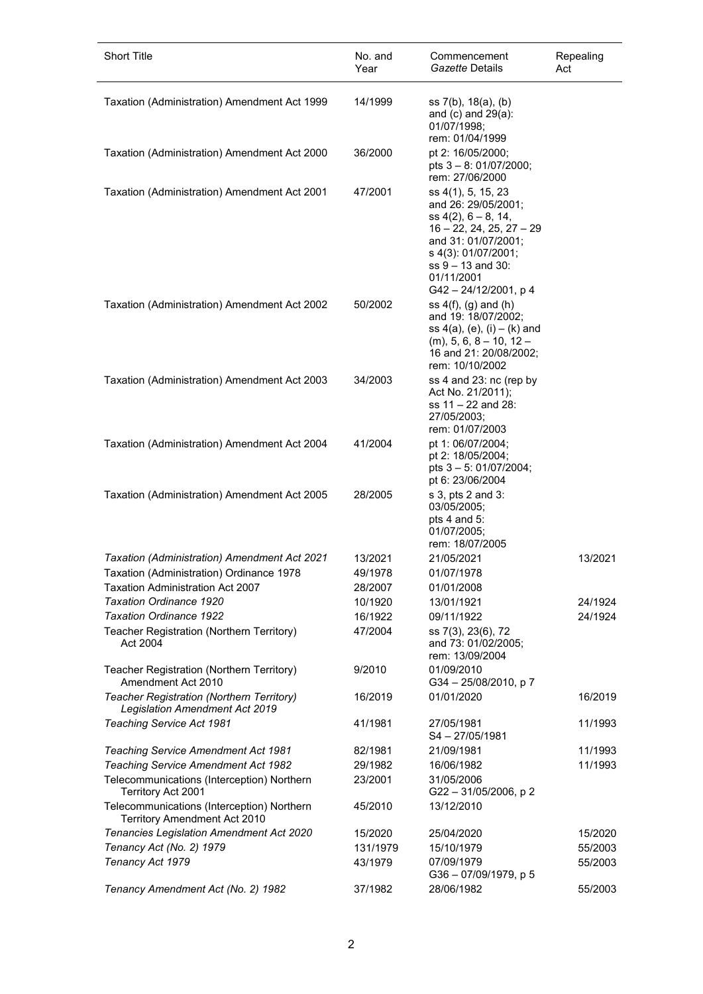| Short Title                                                                       | No. and<br>Year | Commencement<br>Gazette Details                                                                                                                                                                         | Repealing<br>Act |
|-----------------------------------------------------------------------------------|-----------------|---------------------------------------------------------------------------------------------------------------------------------------------------------------------------------------------------------|------------------|
| Taxation (Administration) Amendment Act 1999                                      | 14/1999         | ss 7(b), 18(a), (b)<br>and $(c)$ and $29(a)$ :<br>01/07/1998;<br>rem: 01/04/1999                                                                                                                        |                  |
| Taxation (Administration) Amendment Act 2000                                      | 36/2000         | pt 2: 16/05/2000;<br>pts $3 - 8$ : 01/07/2000;<br>rem: 27/06/2000                                                                                                                                       |                  |
| Taxation (Administration) Amendment Act 2001                                      | 47/2001         | ss 4(1), 5, 15, 23<br>and 26: 29/05/2001;<br>$ss 4(2), 6-8, 14,$<br>16 - 22, 24, 25, 27 - 29<br>and 31: 01/07/2001;<br>s 4(3): 01/07/2001;<br>$ss$ 9 $-$ 13 and 30:<br>01/11/2001<br>G42-24/12/2001, p4 |                  |
| Taxation (Administration) Amendment Act 2002                                      | 50/2002         | ss $4(f)$ , $(g)$ and $(h)$<br>and 19: 18/07/2002;<br>ss $4(a)$ , $(e)$ , $(i) - (k)$ and<br>$(m)$ , 5, 6, 8 – 10, 12 –<br>16 and 21: 20/08/2002;<br>rem: 10/10/2002                                    |                  |
| Taxation (Administration) Amendment Act 2003                                      | 34/2003         | ss 4 and 23: nc (rep by<br>Act No. 21/2011);<br>ss 11 - 22 and 28:<br>27/05/2003;<br>rem: 01/07/2003                                                                                                    |                  |
| Taxation (Administration) Amendment Act 2004                                      | 41/2004         | pt 1: 06/07/2004;<br>pt 2: 18/05/2004;<br>pts 3 - 5: 01/07/2004;<br>pt 6: 23/06/2004                                                                                                                    |                  |
| Taxation (Administration) Amendment Act 2005                                      | 28/2005         | s 3, pts 2 and 3:<br>03/05/2005;<br>pts 4 and 5:<br>01/07/2005;<br>rem: 18/07/2005                                                                                                                      |                  |
| Taxation (Administration) Amendment Act 2021                                      | 13/2021         | 21/05/2021                                                                                                                                                                                              | 13/2021          |
| Taxation (Administration) Ordinance 1978                                          | 49/1978         | 01/07/1978                                                                                                                                                                                              |                  |
| <b>Taxation Administration Act 2007</b>                                           | 28/2007         | 01/01/2008                                                                                                                                                                                              |                  |
| <b>Taxation Ordinance 1920</b>                                                    | 10/1920         | 13/01/1921                                                                                                                                                                                              | 24/1924          |
| <b>Taxation Ordinance 1922</b>                                                    | 16/1922         | 09/11/1922                                                                                                                                                                                              | 24/1924          |
| Teacher Registration (Northern Territory)<br>Act 2004                             | 47/2004         | ss 7(3), 23(6), 72<br>and 73: 01/02/2005;<br>rem: 13/09/2004                                                                                                                                            |                  |
| Teacher Registration (Northern Territory)<br>Amendment Act 2010                   | 9/2010          | 01/09/2010<br>G34-25/08/2010, p7                                                                                                                                                                        |                  |
| Teacher Registration (Northern Territory)<br>Legislation Amendment Act 2019       | 16/2019         | 01/01/2020                                                                                                                                                                                              | 16/2019          |
| Teaching Service Act 1981                                                         | 41/1981         | 27/05/1981<br>$S4 - 27/05/1981$                                                                                                                                                                         | 11/1993          |
| <b>Teaching Service Amendment Act 1981</b>                                        | 82/1981         | 21/09/1981                                                                                                                                                                                              | 11/1993          |
| <b>Teaching Service Amendment Act 1982</b>                                        | 29/1982         | 16/06/1982                                                                                                                                                                                              | 11/1993          |
| Telecommunications (Interception) Northern<br>Territory Act 2001                  | 23/2001         | 31/05/2006<br>G22-31/05/2006, p2                                                                                                                                                                        |                  |
| Telecommunications (Interception) Northern<br><b>Territory Amendment Act 2010</b> | 45/2010         | 13/12/2010                                                                                                                                                                                              |                  |
| <b>Tenancies Legislation Amendment Act 2020</b>                                   | 15/2020         | 25/04/2020                                                                                                                                                                                              | 15/2020          |
| Tenancy Act (No. 2) 1979                                                          | 131/1979        | 15/10/1979                                                                                                                                                                                              | 55/2003          |
| Tenancy Act 1979                                                                  | 43/1979         | 07/09/1979<br>G36-07/09/1979, p 5                                                                                                                                                                       | 55/2003          |
| Tenancy Amendment Act (No. 2) 1982                                                | 37/1982         | 28/06/1982                                                                                                                                                                                              | 55/2003          |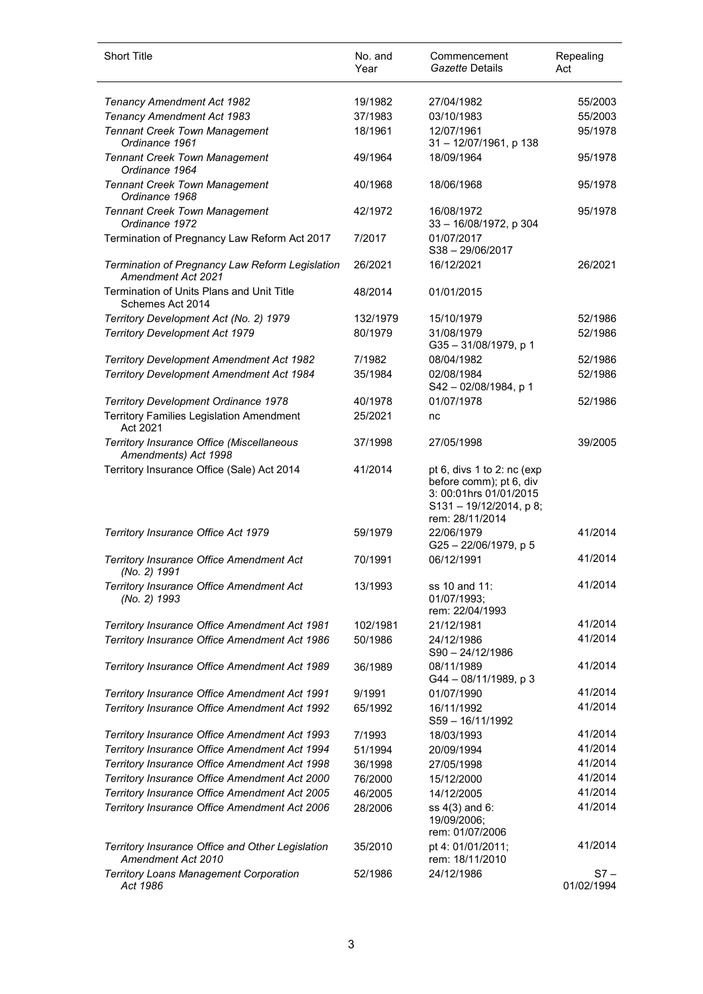| <b>Short Title</b>                                                     | No. and<br>Year | Commencement<br>Gazette Details                                                                                             | Repealing<br>Act     |
|------------------------------------------------------------------------|-----------------|-----------------------------------------------------------------------------------------------------------------------------|----------------------|
| Tenancy Amendment Act 1982                                             | 19/1982         | 27/04/1982                                                                                                                  | 55/2003              |
| Tenancy Amendment Act 1983                                             | 37/1983         | 03/10/1983                                                                                                                  | 55/2003              |
| <b>Tennant Creek Town Management</b><br>Ordinance 1961                 | 18/1961         | 12/07/1961<br>31-12/07/1961, p 138                                                                                          | 95/1978              |
| <b>Tennant Creek Town Management</b><br>Ordinance 1964                 | 49/1964         | 18/09/1964                                                                                                                  | 95/1978              |
| <b>Tennant Creek Town Management</b><br>Ordinance 1968                 | 40/1968         | 18/06/1968                                                                                                                  | 95/1978              |
| <b>Tennant Creek Town Management</b><br>Ordinance 1972                 | 42/1972         | 16/08/1972<br>33 - 16/08/1972, p 304                                                                                        | 95/1978              |
| Termination of Pregnancy Law Reform Act 2017                           | 7/2017          | 01/07/2017<br>S38-29/06/2017                                                                                                |                      |
| Termination of Pregnancy Law Reform Legislation<br>Amendment Act 2021  | 26/2021         | 16/12/2021                                                                                                                  | 26/2021              |
| Termination of Units Plans and Unit Title<br>Schemes Act 2014          | 48/2014         | 01/01/2015                                                                                                                  |                      |
| Territory Development Act (No. 2) 1979                                 | 132/1979        | 15/10/1979                                                                                                                  | 52/1986              |
| <b>Territory Development Act 1979</b>                                  | 80/1979         | 31/08/1979<br>G35-31/08/1979, p 1                                                                                           | 52/1986              |
| <b>Territory Development Amendment Act 1982</b>                        | 7/1982          | 08/04/1982                                                                                                                  | 52/1986              |
| <b>Territory Development Amendment Act 1984</b>                        | 35/1984         | 02/08/1984<br>S42-02/08/1984, p 1                                                                                           | 52/1986              |
| Territory Development Ordinance 1978                                   | 40/1978         | 01/07/1978                                                                                                                  | 52/1986              |
| <b>Territory Families Legislation Amendment</b><br>Act 2021            | 25/2021         | nc                                                                                                                          |                      |
| Territory Insurance Office (Miscellaneous<br>Amendments) Act 1998      | 37/1998         | 27/05/1998                                                                                                                  | 39/2005              |
| Territory Insurance Office (Sale) Act 2014                             | 41/2014         | pt 6, divs 1 to 2: nc (exp<br>before comm); pt 6, div<br>3: 00:01hrs 01/01/2015<br>S131-19/12/2014, p 8;<br>rem: 28/11/2014 |                      |
| Territory Insurance Office Act 1979                                    | 59/1979         | 22/06/1979<br>G25-22/06/1979, p 5                                                                                           | 41/2014              |
| Territory Insurance Office Amendment Act<br>(No. 2) 1991               | 70/1991         | 06/12/1991                                                                                                                  | 41/2014              |
| Territory Insurance Office Amendment Act<br>(No. 2) 1993               | 13/1993         | ss 10 and 11:<br>01/07/1993;<br>rem: 22/04/1993                                                                             | 41/2014              |
| Territory Insurance Office Amendment Act 1981                          | 102/1981        | 21/12/1981                                                                                                                  | 41/2014              |
| Territory Insurance Office Amendment Act 1986                          | 50/1986         | 24/12/1986<br>S90-24/12/1986                                                                                                | 41/2014              |
| Territory Insurance Office Amendment Act 1989                          | 36/1989         | 08/11/1989<br>G44 - 08/11/1989, p 3                                                                                         | 41/2014              |
| Territory Insurance Office Amendment Act 1991                          | 9/1991          | 01/07/1990                                                                                                                  | 41/2014              |
| Territory Insurance Office Amendment Act 1992                          | 65/1992         | 16/11/1992<br>S59-16/11/1992                                                                                                | 41/2014              |
| Territory Insurance Office Amendment Act 1993                          | 7/1993          | 18/03/1993                                                                                                                  | 41/2014              |
| Territory Insurance Office Amendment Act 1994                          | 51/1994         | 20/09/1994                                                                                                                  | 41/2014              |
| Territory Insurance Office Amendment Act 1998                          | 36/1998         | 27/05/1998                                                                                                                  | 41/2014              |
| Territory Insurance Office Amendment Act 2000                          | 76/2000         | 15/12/2000                                                                                                                  | 41/2014              |
| Territory Insurance Office Amendment Act 2005                          | 46/2005         | 14/12/2005                                                                                                                  | 41/2014              |
| Territory Insurance Office Amendment Act 2006                          | 28/2006         | ss 4(3) and 6:<br>19/09/2006;<br>rem: 01/07/2006                                                                            | 41/2014              |
| Territory Insurance Office and Other Legislation<br>Amendment Act 2010 | 35/2010         | pt 4: 01/01/2011;<br>rem: 18/11/2010                                                                                        | 41/2014              |
| <b>Territory Loans Management Corporation</b><br>Act 1986              | 52/1986         | 24/12/1986                                                                                                                  | $S7 -$<br>01/02/1994 |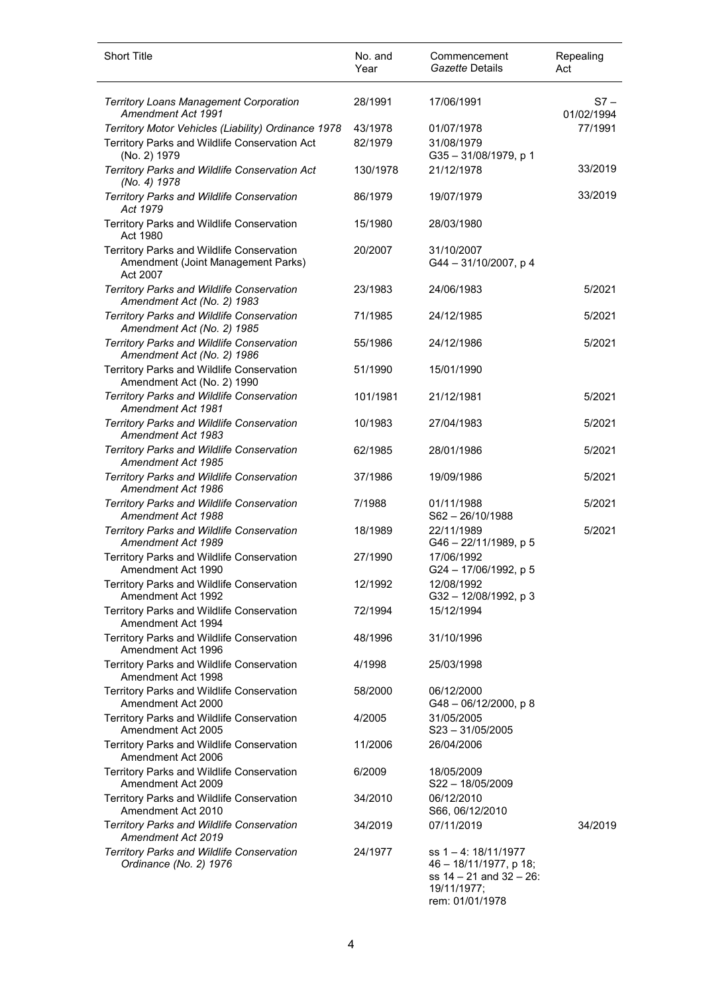| <b>Short Title</b>                                                                                                   | No. and<br>Year    | Commencement<br>Gazette Details                                                                                       | Repealing<br>Act     |
|----------------------------------------------------------------------------------------------------------------------|--------------------|-----------------------------------------------------------------------------------------------------------------------|----------------------|
| <b>Territory Loans Management Corporation</b><br>Amendment Act 1991                                                  | 28/1991            | 17/06/1991                                                                                                            | $S7 -$<br>01/02/1994 |
| Territory Motor Vehicles (Liability) Ordinance 1978<br>Territory Parks and Wildlife Conservation Act<br>(No. 2) 1979 | 43/1978<br>82/1979 | 01/07/1978<br>31/08/1979<br>G35-31/08/1979, p 1                                                                       | 77/1991              |
| Territory Parks and Wildlife Conservation Act<br>(No. 4) 1978                                                        | 130/1978           | 21/12/1978                                                                                                            | 33/2019              |
| Territory Parks and Wildlife Conservation<br>Act 1979                                                                | 86/1979            | 19/07/1979                                                                                                            | 33/2019              |
| Territory Parks and Wildlife Conservation<br>Act 1980                                                                | 15/1980            | 28/03/1980                                                                                                            |                      |
| Territory Parks and Wildlife Conservation<br>Amendment (Joint Management Parks)<br>Act 2007                          | 20/2007            | 31/10/2007<br>G44-31/10/2007, p4                                                                                      |                      |
| Territory Parks and Wildlife Conservation<br>Amendment Act (No. 2) 1983                                              | 23/1983            | 24/06/1983                                                                                                            | 5/2021               |
| Territory Parks and Wildlife Conservation<br>Amendment Act (No. 2) 1985                                              | 71/1985            | 24/12/1985                                                                                                            | 5/2021               |
| Territory Parks and Wildlife Conservation<br>Amendment Act (No. 2) 1986                                              | 55/1986            | 24/12/1986                                                                                                            | 5/2021               |
| Territory Parks and Wildlife Conservation<br>Amendment Act (No. 2) 1990                                              | 51/1990            | 15/01/1990                                                                                                            |                      |
| Territory Parks and Wildlife Conservation<br><b>Amendment Act 1981</b>                                               | 101/1981           | 21/12/1981                                                                                                            | 5/2021               |
| Territory Parks and Wildlife Conservation<br>Amendment Act 1983                                                      | 10/1983            | 27/04/1983                                                                                                            | 5/2021               |
| Territory Parks and Wildlife Conservation<br>Amendment Act 1985                                                      | 62/1985            | 28/01/1986                                                                                                            | 5/2021               |
| Territory Parks and Wildlife Conservation<br>Amendment Act 1986                                                      | 37/1986            | 19/09/1986                                                                                                            | 5/2021               |
| <b>Territory Parks and Wildlife Conservation</b><br>Amendment Act 1988                                               | 7/1988             | 01/11/1988<br>$S62 - 26/10/1988$                                                                                      | 5/2021               |
| Territory Parks and Wildlife Conservation<br>Amendment Act 1989                                                      | 18/1989            | 22/11/1989<br>G46 - 22/11/1989, p 5                                                                                   | 5/2021               |
| Territory Parks and Wildlife Conservation<br>Amendment Act 1990                                                      | 27/1990            | 17/06/1992<br>G24 - 17/06/1992, p 5                                                                                   |                      |
| Territory Parks and Wildlife Conservation<br>Amendment Act 1992                                                      | 12/1992            | 12/08/1992<br>G32 - 12/08/1992, p 3                                                                                   |                      |
| <b>Territory Parks and Wildlife Conservation</b><br>Amendment Act 1994                                               | 72/1994            | 15/12/1994                                                                                                            |                      |
| Territory Parks and Wildlife Conservation<br>Amendment Act 1996                                                      | 48/1996            | 31/10/1996                                                                                                            |                      |
| Territory Parks and Wildlife Conservation<br>Amendment Act 1998                                                      | 4/1998             | 25/03/1998                                                                                                            |                      |
| Territory Parks and Wildlife Conservation<br>Amendment Act 2000                                                      | 58/2000            | 06/12/2000<br>$G48 - 06/12/2000$ , p 8                                                                                |                      |
| Territory Parks and Wildlife Conservation<br>Amendment Act 2005                                                      | 4/2005             | 31/05/2005<br>$S23 - 31/05/2005$                                                                                      |                      |
| Territory Parks and Wildlife Conservation<br>Amendment Act 2006                                                      | 11/2006            | 26/04/2006                                                                                                            |                      |
| Territory Parks and Wildlife Conservation<br>Amendment Act 2009                                                      | 6/2009             | 18/05/2009<br>S22-18/05/2009                                                                                          |                      |
| Territory Parks and Wildlife Conservation<br>Amendment Act 2010                                                      | 34/2010            | 06/12/2010<br>S66, 06/12/2010                                                                                         |                      |
| Territory Parks and Wildlife Conservation<br>Amendment Act 2019                                                      | 34/2019            | 07/11/2019                                                                                                            | 34/2019              |
| Territory Parks and Wildlife Conservation<br>Ordinance (No. 2) 1976                                                  | 24/1977            | ss $1 - 4$ : $18/11/1977$<br>46 - 18/11/1977, p 18;<br>ss $14 - 21$ and $32 - 26$ :<br>19/11/1977;<br>rem: 01/01/1978 |                      |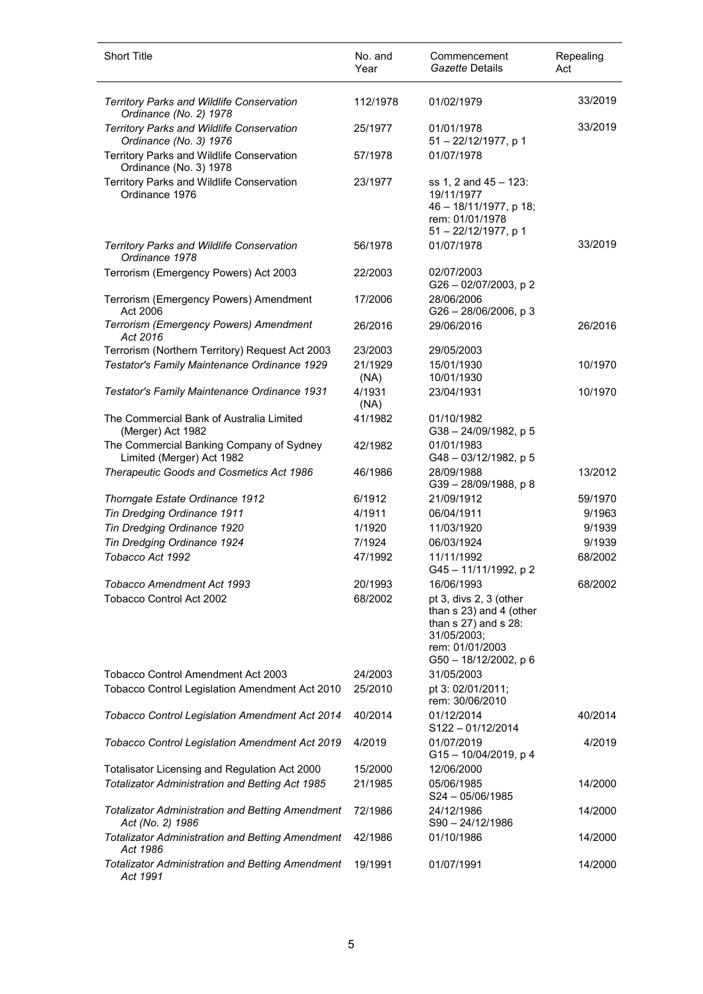| <b>Short Title</b>                                                          | No. and<br>Year | Commencement<br>Gazette Details                                                                                                          | Repealing<br>Act |
|-----------------------------------------------------------------------------|-----------------|------------------------------------------------------------------------------------------------------------------------------------------|------------------|
| Territory Parks and Wildlife Conservation<br>Ordinance (No. 2) 1978         | 112/1978        | 01/02/1979                                                                                                                               | 33/2019          |
| Territory Parks and Wildlife Conservation<br>Ordinance (No. 3) 1976         | 25/1977         | 01/01/1978<br>51-22/12/1977, p 1                                                                                                         | 33/2019          |
| Territory Parks and Wildlife Conservation<br>Ordinance (No. 3) 1978         | 57/1978         | 01/07/1978                                                                                                                               |                  |
| Territory Parks and Wildlife Conservation<br>Ordinance 1976                 | 23/1977         | ss 1, 2 and 45 - 123:<br>19/11/1977<br>46 - 18/11/1977, p 18;<br>rem: 01/01/1978<br>51-22/12/1977, p 1                                   |                  |
| Territory Parks and Wildlife Conservation<br>Ordinance 1978                 | 56/1978         | 01/07/1978                                                                                                                               | 33/2019          |
| Terrorism (Emergency Powers) Act 2003                                       | 22/2003         | 02/07/2003<br>G26 - 02/07/2003, p 2                                                                                                      |                  |
| Terrorism (Emergency Powers) Amendment<br>Act 2006                          | 17/2006         | 28/06/2006<br>$G26 - 28/06/2006$ , p 3                                                                                                   |                  |
| Terrorism (Emergency Powers) Amendment<br>Act 2016                          | 26/2016         | 29/06/2016                                                                                                                               | 26/2016          |
| Terrorism (Northern Territory) Request Act 2003                             | 23/2003         | 29/05/2003                                                                                                                               |                  |
| Testator's Family Maintenance Ordinance 1929                                | 21/1929<br>(NA) | 15/01/1930<br>10/01/1930                                                                                                                 | 10/1970          |
| Testator's Family Maintenance Ordinance 1931                                | 4/1931<br>(NA)  | 23/04/1931                                                                                                                               | 10/1970          |
| The Commercial Bank of Australia Limited<br>(Merger) Act 1982               | 41/1982         | 01/10/1982<br>G38-24/09/1982, p 5                                                                                                        |                  |
| The Commercial Banking Company of Sydney<br>Limited (Merger) Act 1982       | 42/1982         | 01/01/1983<br>G48-03/12/1982, p 5                                                                                                        |                  |
| Therapeutic Goods and Cosmetics Act 1986                                    | 46/1986         | 28/09/1988<br>G39-28/09/1988, p8                                                                                                         | 13/2012          |
| Thorngate Estate Ordinance 1912                                             | 6/1912          | 21/09/1912                                                                                                                               | 59/1970          |
| Tin Dredging Ordinance 1911                                                 | 4/1911          | 06/04/1911                                                                                                                               | 9/1963           |
| Tin Dredging Ordinance 1920                                                 | 1/1920          | 11/03/1920                                                                                                                               | 9/1939           |
| Tin Dredging Ordinance 1924                                                 | 7/1924          | 06/03/1924                                                                                                                               | 9/1939           |
| Tobacco Act 1992                                                            | 47/1992         | 11/11/1992<br>G45-11/11/1992, p2                                                                                                         | 68/2002          |
| Tobacco Amendment Act 1993                                                  | 20/1993         | 16/06/1993                                                                                                                               | 68/2002          |
| Tobacco Control Act 2002                                                    | 68/2002         | pt 3, divs 2, 3 (other<br>than s 23) and 4 (other<br>than $s$ 27) and $s$ 28:<br>31/05/2003;<br>rem: 01/01/2003<br>G50 - 18/12/2002, p 6 |                  |
| Tobacco Control Amendment Act 2003                                          | 24/2003         | 31/05/2003                                                                                                                               |                  |
| Tobacco Control Legislation Amendment Act 2010                              | 25/2010         | pt 3: 02/01/2011;<br>rem: 30/06/2010                                                                                                     |                  |
| Tobacco Control Legislation Amendment Act 2014                              | 40/2014         | 01/12/2014<br>$S122 - 01/12/2014$                                                                                                        | 40/2014          |
| Tobacco Control Legislation Amendment Act 2019                              | 4/2019          | 01/07/2019<br>G15 - 10/04/2019, p 4                                                                                                      | 4/2019           |
| Totalisator Licensing and Regulation Act 2000                               | 15/2000         | 12/06/2000                                                                                                                               |                  |
| Totalizator Administration and Betting Act 1985                             | 21/1985         | 05/06/1985<br>S24-05/06/1985                                                                                                             | 14/2000          |
| <b>Totalizator Administration and Betting Amendment</b><br>Act (No. 2) 1986 | 72/1986         | 24/12/1986<br>S90-24/12/1986                                                                                                             | 14/2000          |
| <b>Totalizator Administration and Betting Amendment</b><br>Act 1986         | 42/1986         | 01/10/1986                                                                                                                               | 14/2000          |
| <b>Totalizator Administration and Betting Amendment</b><br>Act 1991         | 19/1991         | 01/07/1991                                                                                                                               | 14/2000          |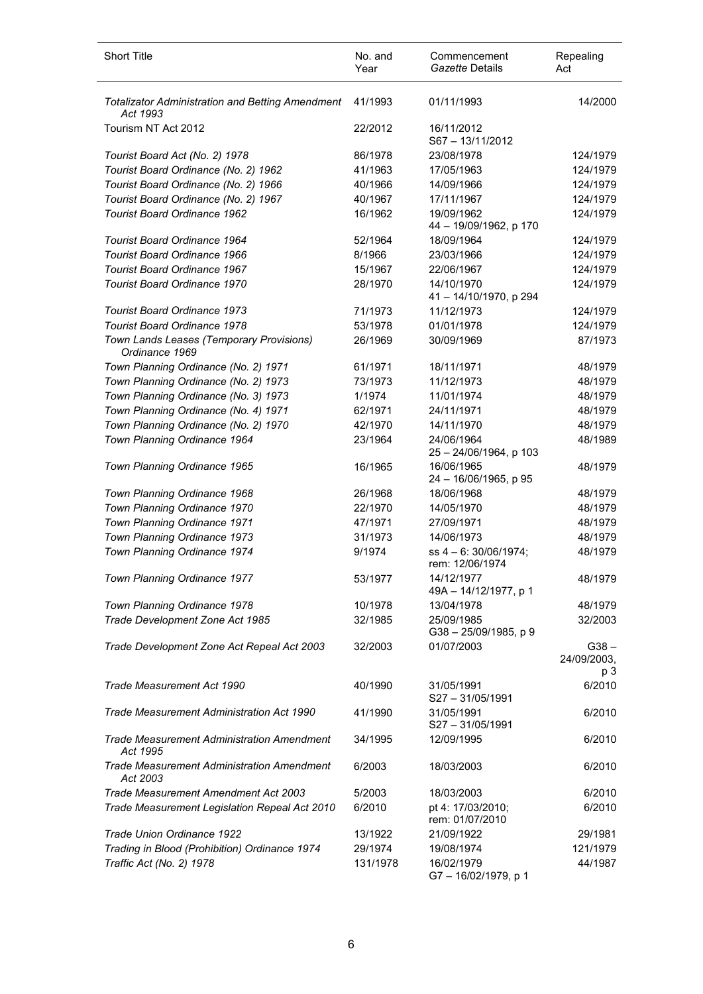| <b>Short Title</b>                                                  | No. and<br>Year | Commencement<br>Gazette Details            | Repealing<br>Act       |
|---------------------------------------------------------------------|-----------------|--------------------------------------------|------------------------|
| <b>Totalizator Administration and Betting Amendment</b><br>Act 1993 | 41/1993         | 01/11/1993                                 | 14/2000                |
| Tourism NT Act 2012                                                 | 22/2012         | 16/11/2012<br>S67-13/11/2012               |                        |
| Tourist Board Act (No. 2) 1978                                      | 86/1978         | 23/08/1978                                 | 124/1979               |
| Tourist Board Ordinance (No. 2) 1962                                | 41/1963         | 17/05/1963                                 | 124/1979               |
| Tourist Board Ordinance (No. 2) 1966                                | 40/1966         | 14/09/1966                                 | 124/1979               |
| Tourist Board Ordinance (No. 2) 1967                                | 40/1967         | 17/11/1967                                 | 124/1979               |
| <b>Tourist Board Ordinance 1962</b>                                 | 16/1962         | 19/09/1962<br>44 - 19/09/1962, p 170       | 124/1979               |
| Tourist Board Ordinance 1964                                        | 52/1964         | 18/09/1964                                 | 124/1979               |
| <b>Tourist Board Ordinance 1966</b>                                 | 8/1966          | 23/03/1966                                 | 124/1979               |
| <b>Tourist Board Ordinance 1967</b>                                 | 15/1967         | 22/06/1967                                 | 124/1979               |
| Tourist Board Ordinance 1970                                        | 28/1970         | 14/10/1970<br>41 - 14/10/1970, p 294       | 124/1979               |
| <b>Tourist Board Ordinance 1973</b>                                 | 71/1973         | 11/12/1973                                 | 124/1979               |
| <b>Tourist Board Ordinance 1978</b>                                 | 53/1978         | 01/01/1978                                 | 124/1979               |
| Town Lands Leases (Temporary Provisions)<br>Ordinance 1969          | 26/1969         | 30/09/1969                                 | 87/1973                |
| Town Planning Ordinance (No. 2) 1971                                | 61/1971         | 18/11/1971                                 | 48/1979                |
| Town Planning Ordinance (No. 2) 1973                                | 73/1973         | 11/12/1973                                 | 48/1979                |
| Town Planning Ordinance (No. 3) 1973                                | 1/1974          | 11/01/1974                                 | 48/1979                |
| Town Planning Ordinance (No. 4) 1971                                | 62/1971         | 24/11/1971                                 | 48/1979                |
| Town Planning Ordinance (No. 2) 1970                                | 42/1970         | 14/11/1970                                 | 48/1979                |
| Town Planning Ordinance 1964                                        | 23/1964         | 24/06/1964<br>25 - 24/06/1964, p 103       | 48/1989                |
| Town Planning Ordinance 1965                                        | 16/1965         | 16/06/1965<br>24 - 16/06/1965, p 95        | 48/1979                |
| Town Planning Ordinance 1968                                        | 26/1968         | 18/06/1968                                 | 48/1979                |
| Town Planning Ordinance 1970                                        | 22/1970         | 14/05/1970                                 | 48/1979                |
| Town Planning Ordinance 1971                                        | 47/1971         | 27/09/1971                                 | 48/1979                |
| Town Planning Ordinance 1973                                        | 31/1973         | 14/06/1973                                 | 48/1979                |
| Town Planning Ordinance 1974                                        | 9/1974          | $ss$ 4 - 6: 30/06/1974;<br>rem: 12/06/1974 | 48/1979                |
| Town Planning Ordinance 1977                                        | 53/1977         | 14/12/1977<br>49A - 14/12/1977, p 1        | 48/1979                |
| Town Planning Ordinance 1978                                        | 10/1978         | 13/04/1978                                 | 48/1979                |
| Trade Development Zone Act 1985                                     | 32/1985         | 25/09/1985<br>G38-25/09/1985, p 9          | 32/2003                |
| Trade Development Zone Act Repeal Act 2003                          | 32/2003         | 01/07/2003                                 | $G38 -$<br>24/09/2003, |
| Trade Measurement Act 1990                                          | 40/1990         | 31/05/1991<br>S27-31/05/1991               | p 3<br>6/2010          |
| Trade Measurement Administration Act 1990                           | 41/1990         | 31/05/1991<br>$S27 - 31/05/1991$           | 6/2010                 |
| <b>Trade Measurement Administration Amendment</b><br>Act 1995       | 34/1995         | 12/09/1995                                 | 6/2010                 |
| <b>Trade Measurement Administration Amendment</b><br>Act 2003       | 6/2003          | 18/03/2003                                 | 6/2010                 |
| Trade Measurement Amendment Act 2003                                | 5/2003          | 18/03/2003                                 | 6/2010                 |
| Trade Measurement Legislation Repeal Act 2010                       | 6/2010          | pt 4: 17/03/2010;<br>rem: 01/07/2010       | 6/2010                 |
| Trade Union Ordinance 1922                                          | 13/1922         | 21/09/1922                                 | 29/1981                |
| Trading in Blood (Prohibition) Ordinance 1974                       | 29/1974         | 19/08/1974                                 | 121/1979               |
| Traffic Act (No. 2) 1978                                            | 131/1978        | 16/02/1979<br>G7-16/02/1979, p 1           | 44/1987                |

l,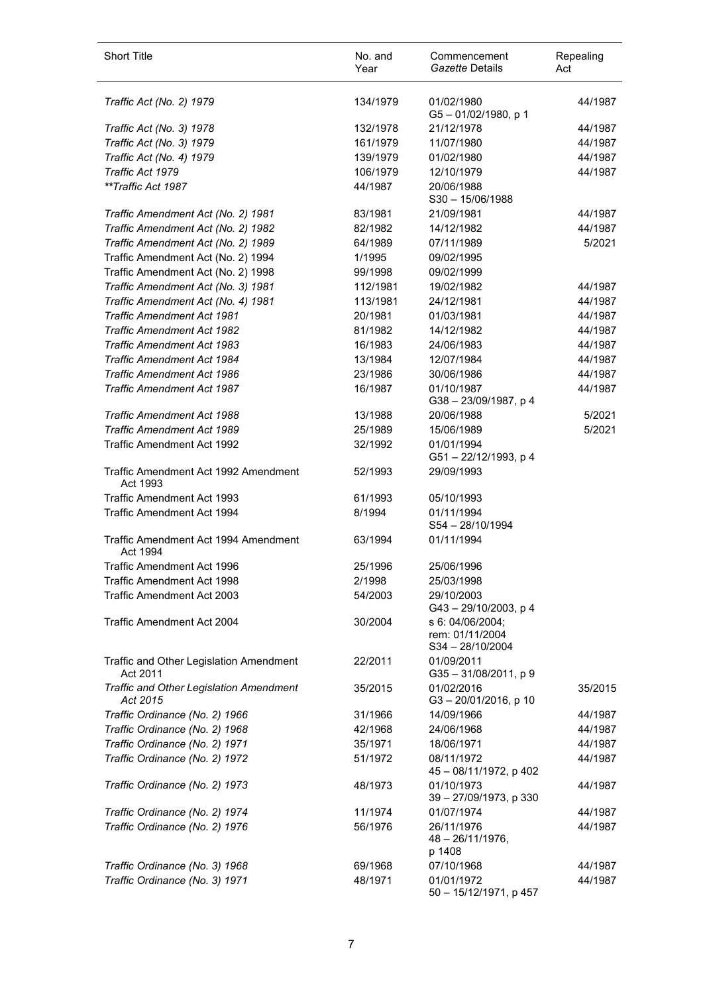| <b>Short Title</b>                                  | No. and<br>Year | Commencement<br>Gazette Details                       | Repealing<br>Act |
|-----------------------------------------------------|-----------------|-------------------------------------------------------|------------------|
| Traffic Act (No. 2) 1979                            | 134/1979        | 01/02/1980<br>$G5 - 01/02/1980$ , p 1                 | 44/1987          |
| Traffic Act (No. 3) 1978                            | 132/1978        | 21/12/1978                                            | 44/1987          |
| Traffic Act (No. 3) 1979                            | 161/1979        | 11/07/1980                                            | 44/1987          |
| Traffic Act (No. 4) 1979                            | 139/1979        | 01/02/1980                                            | 44/1987          |
| Traffic Act 1979                                    | 106/1979        | 12/10/1979                                            | 44/1987          |
| **Traffic Act 1987                                  | 44/1987         | 20/06/1988<br>$S30 - 15/06/1988$                      |                  |
| Traffic Amendment Act (No. 2) 1981                  | 83/1981         | 21/09/1981                                            | 44/1987          |
| Traffic Amendment Act (No. 2) 1982                  | 82/1982         | 14/12/1982                                            | 44/1987          |
| Traffic Amendment Act (No. 2) 1989                  | 64/1989         | 07/11/1989                                            | 5/2021           |
| Traffic Amendment Act (No. 2) 1994                  | 1/1995          | 09/02/1995                                            |                  |
| Traffic Amendment Act (No. 2) 1998                  | 99/1998         | 09/02/1999                                            |                  |
| Traffic Amendment Act (No. 3) 1981                  | 112/1981        | 19/02/1982                                            | 44/1987          |
| Traffic Amendment Act (No. 4) 1981                  | 113/1981        | 24/12/1981                                            | 44/1987          |
| <b>Traffic Amendment Act 1981</b>                   | 20/1981         | 01/03/1981                                            | 44/1987          |
| <b>Traffic Amendment Act 1982</b>                   | 81/1982         | 14/12/1982                                            | 44/1987          |
| <b>Traffic Amendment Act 1983</b>                   | 16/1983         | 24/06/1983                                            | 44/1987          |
| <b>Traffic Amendment Act 1984</b>                   | 13/1984         | 12/07/1984                                            | 44/1987          |
| <b>Traffic Amendment Act 1986</b>                   | 23/1986         | 30/06/1986                                            | 44/1987          |
| <b>Traffic Amendment Act 1987</b>                   | 16/1987         | 01/10/1987<br>G38-23/09/1987, p4                      | 44/1987          |
| Traffic Amendment Act 1988                          | 13/1988         | 20/06/1988                                            | 5/2021           |
| <b>Traffic Amendment Act 1989</b>                   | 25/1989         | 15/06/1989                                            | 5/2021           |
| <b>Traffic Amendment Act 1992</b>                   | 32/1992         | 01/01/1994<br>G51-22/12/1993, p 4                     |                  |
| Traffic Amendment Act 1992 Amendment<br>Act 1993    | 52/1993         | 29/09/1993                                            |                  |
| <b>Traffic Amendment Act 1993</b>                   | 61/1993         | 05/10/1993                                            |                  |
| Traffic Amendment Act 1994                          | 8/1994          | 01/11/1994<br>S54-28/10/1994                          |                  |
| Traffic Amendment Act 1994 Amendment<br>Act 1994    | 63/1994         | 01/11/1994                                            |                  |
| Traffic Amendment Act 1996                          | 25/1996         | 25/06/1996                                            |                  |
| Traffic Amendment Act 1998                          | 2/1998          | 25/03/1998                                            |                  |
| <b>Traffic Amendment Act 2003</b>                   | 54/2003         | 29/10/2003<br>G43-29/10/2003, p4                      |                  |
| Traffic Amendment Act 2004                          | 30/2004         | s 6: 04/06/2004;<br>rem: 01/11/2004<br>S34-28/10/2004 |                  |
| Traffic and Other Legislation Amendment<br>Act 2011 | 22/2011         | 01/09/2011<br>G35-31/08/2011, p9                      |                  |
| Traffic and Other Legislation Amendment<br>Act 2015 | 35/2015         | 01/02/2016<br>G3-20/01/2016, p 10                     | 35/2015          |
| Traffic Ordinance (No. 2) 1966                      | 31/1966         | 14/09/1966                                            | 44/1987          |
| Traffic Ordinance (No. 2) 1968                      | 42/1968         | 24/06/1968                                            | 44/1987          |
| Traffic Ordinance (No. 2) 1971                      | 35/1971         | 18/06/1971                                            | 44/1987          |
| Traffic Ordinance (No. 2) 1972                      | 51/1972         | 08/11/1972<br>45 - 08/11/1972, p 402                  | 44/1987          |
| Traffic Ordinance (No. 2) 1973                      | 48/1973         | 01/10/1973<br>39 - 27/09/1973, p 330                  | 44/1987          |
| Traffic Ordinance (No. 2) 1974                      | 11/1974         | 01/07/1974                                            | 44/1987          |
| Traffic Ordinance (No. 2) 1976                      | 56/1976         | 26/11/1976<br>$48 - 26/11/1976$ ,<br>p 1408           | 44/1987          |
| Traffic Ordinance (No. 3) 1968                      | 69/1968         | 07/10/1968                                            | 44/1987          |
| Traffic Ordinance (No. 3) 1971                      | 48/1971         | 01/01/1972<br>50 - 15/12/1971, p 457                  | 44/1987          |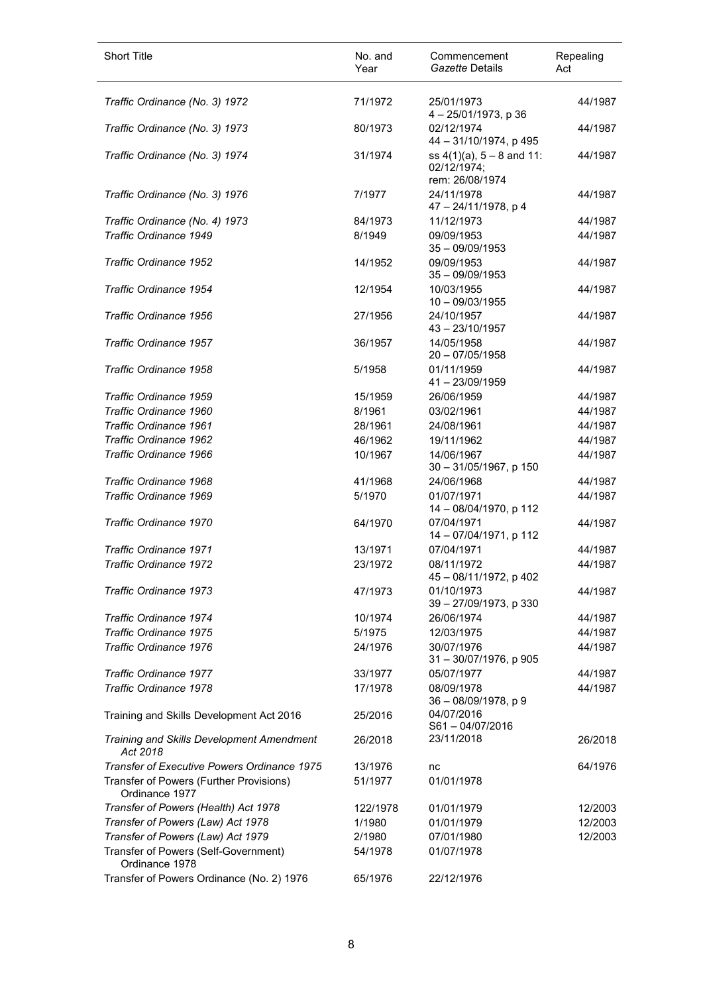| Short Title                                               | No. and<br>Year | Commencement<br>Gazette Details                                  | Repealing<br>Act |
|-----------------------------------------------------------|-----------------|------------------------------------------------------------------|------------------|
| Traffic Ordinance (No. 3) 1972                            | 71/1972         | 25/01/1973<br>4-25/01/1973, p 36                                 | 44/1987          |
| Traffic Ordinance (No. 3) 1973                            | 80/1973         | 02/12/1974<br>44 - 31/10/1974, p 495                             | 44/1987          |
| Traffic Ordinance (No. 3) 1974                            | 31/1974         | ss $4(1)(a)$ , $5 - 8$ and 11:<br>02/12/1974;<br>rem: 26/08/1974 | 44/1987          |
| Traffic Ordinance (No. 3) 1976                            | 7/1977          | 24/11/1978<br>47 - 24/11/1978, p 4                               | 44/1987          |
| Traffic Ordinance (No. 4) 1973                            | 84/1973         | 11/12/1973                                                       | 44/1987          |
| <b>Traffic Ordinance 1949</b>                             | 8/1949          | 09/09/1953<br>$35 - 09/09/1953$                                  | 44/1987          |
| Traffic Ordinance 1952                                    | 14/1952         | 09/09/1953<br>$35 - 09/09/1953$                                  | 44/1987          |
| Traffic Ordinance 1954                                    | 12/1954         | 10/03/1955<br>$10 - 09/03/1955$                                  | 44/1987          |
| Traffic Ordinance 1956                                    | 27/1956         | 24/10/1957<br>43 - 23/10/1957                                    | 44/1987          |
| Traffic Ordinance 1957                                    | 36/1957         | 14/05/1958<br>$20 - 07/05/1958$                                  | 44/1987          |
| Traffic Ordinance 1958                                    | 5/1958          | 01/11/1959<br>41-23/09/1959                                      | 44/1987          |
| Traffic Ordinance 1959                                    | 15/1959         | 26/06/1959                                                       | 44/1987          |
| Traffic Ordinance 1960                                    | 8/1961          | 03/02/1961                                                       | 44/1987          |
| Traffic Ordinance 1961                                    | 28/1961         | 24/08/1961                                                       | 44/1987          |
| Traffic Ordinance 1962                                    | 46/1962         | 19/11/1962                                                       | 44/1987          |
| Traffic Ordinance 1966                                    | 10/1967         | 14/06/1967<br>30 - 31/05/1967, p 150                             | 44/1987          |
| Traffic Ordinance 1968                                    | 41/1968         | 24/06/1968                                                       | 44/1987          |
| Traffic Ordinance 1969                                    | 5/1970          | 01/07/1971<br>14 - 08/04/1970, p 112                             | 44/1987          |
| Traffic Ordinance 1970                                    | 64/1970         | 07/04/1971<br>14 - 07/04/1971, p 112                             | 44/1987          |
| Traffic Ordinance 1971                                    | 13/1971         | 07/04/1971                                                       | 44/1987          |
| Traffic Ordinance 1972                                    | 23/1972         | 08/11/1972<br>45 - 08/11/1972, p 402                             | 44/1987          |
| Traffic Ordinance 1973                                    | 47/1973         | 01/10/1973<br>39 - 27/09/1973, p 330                             | 44/1987          |
| Traffic Ordinance 1974                                    | 10/1974         | 26/06/1974                                                       | 44/1987          |
| Traffic Ordinance 1975                                    | 5/1975          | 12/03/1975                                                       | 44/1987          |
| Traffic Ordinance 1976                                    | 24/1976         | 30/07/1976<br>31 - 30/07/1976, p 905                             | 44/1987          |
| <b>Traffic Ordinance 1977</b>                             | 33/1977         | 05/07/1977                                                       | 44/1987          |
| Traffic Ordinance 1978                                    | 17/1978         | 08/09/1978<br>36 - 08/09/1978, p 9                               | 44/1987          |
| Training and Skills Development Act 2016                  | 25/2016         | 04/07/2016<br>S61-04/07/2016                                     |                  |
| Training and Skills Development Amendment<br>Act 2018     | 26/2018         | 23/11/2018                                                       | 26/2018          |
| Transfer of Executive Powers Ordinance 1975               | 13/1976         | nc                                                               | 64/1976          |
| Transfer of Powers (Further Provisions)<br>Ordinance 1977 | 51/1977         | 01/01/1978                                                       |                  |
| Transfer of Powers (Health) Act 1978                      | 122/1978        | 01/01/1979                                                       | 12/2003          |
| Transfer of Powers (Law) Act 1978                         | 1/1980          | 01/01/1979                                                       | 12/2003          |
| Transfer of Powers (Law) Act 1979                         | 2/1980          | 07/01/1980                                                       | 12/2003          |
| Transfer of Powers (Self-Government)<br>Ordinance 1978    | 54/1978         | 01/07/1978                                                       |                  |
| Transfer of Powers Ordinance (No. 2) 1976                 | 65/1976         | 22/12/1976                                                       |                  |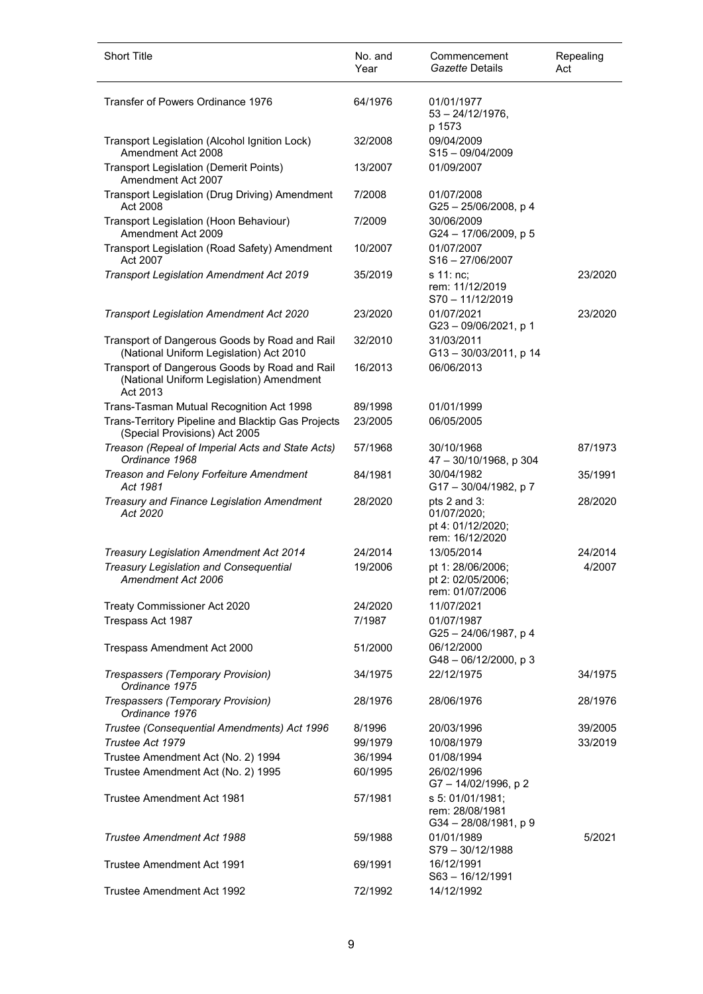| <b>Short Title</b>                                                                                    | No. and<br>Year | Commencement<br>Gazette Details                                     | Repealing<br>Act |
|-------------------------------------------------------------------------------------------------------|-----------------|---------------------------------------------------------------------|------------------|
| Transfer of Powers Ordinance 1976                                                                     | 64/1976         | 01/01/1977<br>$53 - 24/12/1976$ ,<br>p 1573                         |                  |
| Transport Legislation (Alcohol Ignition Lock)<br>Amendment Act 2008                                   | 32/2008         | 09/04/2009<br>S15-09/04/2009                                        |                  |
| <b>Transport Legislation (Demerit Points)</b><br>Amendment Act 2007                                   | 13/2007         | 01/09/2007                                                          |                  |
| Transport Legislation (Drug Driving) Amendment<br>Act 2008                                            | 7/2008          | 01/07/2008<br>G25-25/06/2008, p 4                                   |                  |
| Transport Legislation (Hoon Behaviour)<br>Amendment Act 2009                                          | 7/2009          | 30/06/2009<br>G24 - 17/06/2009, p 5                                 |                  |
| Transport Legislation (Road Safety) Amendment<br>Act 2007                                             | 10/2007         | 01/07/2007<br>$S16 - 27/06/2007$                                    |                  |
| Transport Legislation Amendment Act 2019                                                              | 35/2019         | s 11: nc:<br>rem: 11/12/2019<br>$S70 - 11/12/2019$                  | 23/2020          |
| <b>Transport Legislation Amendment Act 2020</b>                                                       | 23/2020         | 01/07/2021<br>G23-09/06/2021, p 1                                   | 23/2020          |
| Transport of Dangerous Goods by Road and Rail<br>(National Uniform Legislation) Act 2010              | 32/2010         | 31/03/2011<br>G13-30/03/2011, p 14                                  |                  |
| Transport of Dangerous Goods by Road and Rail<br>(National Uniform Legislation) Amendment<br>Act 2013 | 16/2013         | 06/06/2013                                                          |                  |
| Trans-Tasman Mutual Recognition Act 1998                                                              | 89/1998         | 01/01/1999                                                          |                  |
| Trans-Territory Pipeline and Blacktip Gas Projects<br>(Special Provisions) Act 2005                   | 23/2005         | 06/05/2005                                                          |                  |
| Treason (Repeal of Imperial Acts and State Acts)<br>Ordinance 1968                                    | 57/1968         | 30/10/1968<br>47 - 30/10/1968, p 304                                | 87/1973          |
| Treason and Felony Forfeiture Amendment<br>Act 1981                                                   | 84/1981         | 30/04/1982<br>G17-30/04/1982, p7                                    | 35/1991          |
| Treasury and Finance Legislation Amendment<br>Act 2020                                                | 28/2020         | pts 2 and 3:<br>01/07/2020;<br>pt 4: 01/12/2020;<br>rem: 16/12/2020 | 28/2020          |
| Treasury Legislation Amendment Act 2014                                                               | 24/2014         | 13/05/2014                                                          | 24/2014          |
| <b>Treasury Legislation and Consequential</b><br>Amendment Act 2006                                   | 19/2006         | pt 1: 28/06/2006;<br>pt 2: 02/05/2006;<br>rem: 01/07/2006           | 4/2007           |
| Treaty Commissioner Act 2020                                                                          | 24/2020         | 11/07/2021                                                          |                  |
| Trespass Act 1987                                                                                     | 7/1987          | 01/07/1987<br>G25-24/06/1987, p4                                    |                  |
| Trespass Amendment Act 2000                                                                           | 51/2000         | 06/12/2000<br>$G48 - 06/12/2000$ , p 3                              |                  |
| Trespassers (Temporary Provision)<br>Ordinance 1975                                                   | 34/1975         | 22/12/1975                                                          | 34/1975          |
| Trespassers (Temporary Provision)<br>Ordinance 1976                                                   | 28/1976         | 28/06/1976                                                          | 28/1976          |
| Trustee (Consequential Amendments) Act 1996                                                           | 8/1996          | 20/03/1996                                                          | 39/2005          |
| Trustee Act 1979                                                                                      | 99/1979         | 10/08/1979                                                          | 33/2019          |
| Trustee Amendment Act (No. 2) 1994                                                                    | 36/1994         | 01/08/1994                                                          |                  |
| Trustee Amendment Act (No. 2) 1995                                                                    | 60/1995         | 26/02/1996<br>G7-14/02/1996, p 2                                    |                  |
| Trustee Amendment Act 1981                                                                            | 57/1981         | s 5: 01/01/1981;<br>rem: 28/08/1981<br>G34-28/08/1981, p9           |                  |
| Trustee Amendment Act 1988                                                                            | 59/1988         | 01/01/1989<br>$S79 - 30/12/1988$                                    | 5/2021           |
| Trustee Amendment Act 1991                                                                            | 69/1991         | 16/12/1991<br>S63-16/12/1991                                        |                  |
| Trustee Amendment Act 1992                                                                            | 72/1992         | 14/12/1992                                                          |                  |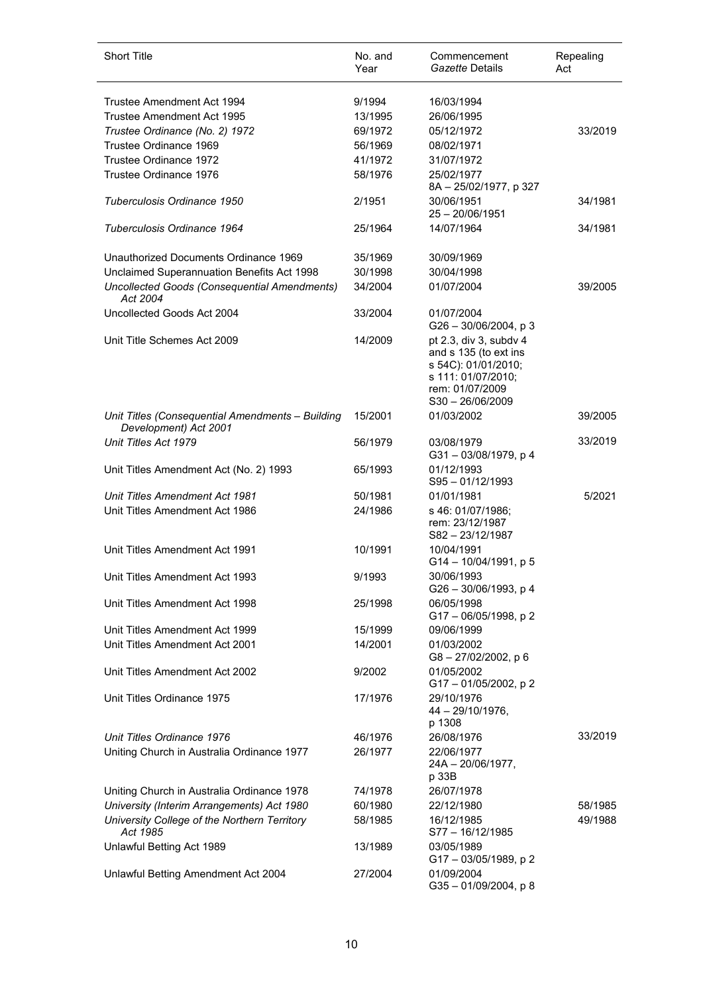| <b>Short Title</b>                                                        | No. and<br>Year | Commencement<br>Gazette Details                                                                                                       | Repealing<br>Act |
|---------------------------------------------------------------------------|-----------------|---------------------------------------------------------------------------------------------------------------------------------------|------------------|
| Trustee Amendment Act 1994                                                | 9/1994          | 16/03/1994                                                                                                                            |                  |
|                                                                           |                 |                                                                                                                                       |                  |
| Trustee Amendment Act 1995                                                | 13/1995         | 26/06/1995                                                                                                                            |                  |
| Trustee Ordinance (No. 2) 1972                                            | 69/1972         | 05/12/1972                                                                                                                            | 33/2019          |
| Trustee Ordinance 1969                                                    | 56/1969         | 08/02/1971                                                                                                                            |                  |
| Trustee Ordinance 1972                                                    | 41/1972         | 31/07/1972                                                                                                                            |                  |
| Trustee Ordinance 1976                                                    | 58/1976         | 25/02/1977<br>8A - 25/02/1977, p 327                                                                                                  |                  |
| Tuberculosis Ordinance 1950                                               | 2/1951          | 30/06/1951<br>$25 - 20/06/1951$                                                                                                       | 34/1981          |
| Tuberculosis Ordinance 1964                                               | 25/1964         | 14/07/1964                                                                                                                            | 34/1981          |
| Unauthorized Documents Ordinance 1969                                     | 35/1969         | 30/09/1969                                                                                                                            |                  |
| Unclaimed Superannuation Benefits Act 1998                                | 30/1998         | 30/04/1998                                                                                                                            |                  |
| Uncollected Goods (Consequential Amendments)<br>Act 2004                  | 34/2004         | 01/07/2004                                                                                                                            | 39/2005          |
| Uncollected Goods Act 2004                                                | 33/2004         | 01/07/2004                                                                                                                            |                  |
|                                                                           |                 | $G26 - 30/06/2004$ , p 3                                                                                                              |                  |
| Unit Title Schemes Act 2009                                               | 14/2009         | pt 2.3, div 3, subdy 4<br>and s 135 (to ext ins<br>s 54C): 01/01/2010;<br>s 111: 01/07/2010;<br>rem: 01/07/2009<br>$S30 - 26/06/2009$ |                  |
| Unit Titles (Consequential Amendments - Building<br>Development) Act 2001 | 15/2001         | 01/03/2002                                                                                                                            | 39/2005          |
| Unit Titles Act 1979                                                      | 56/1979         | 03/08/1979<br>G31-03/08/1979, p4                                                                                                      | 33/2019          |
| Unit Titles Amendment Act (No. 2) 1993                                    | 65/1993         | 01/12/1993<br>S95-01/12/1993                                                                                                          |                  |
| <b>Unit Titles Amendment Act 1981</b>                                     | 50/1981         | 01/01/1981                                                                                                                            | 5/2021           |
| Unit Titles Amendment Act 1986                                            | 24/1986         | s 46: 01/07/1986;                                                                                                                     |                  |
|                                                                           |                 | rem: 23/12/1987<br>$S82 - 23/12/1987$                                                                                                 |                  |
| Unit Titles Amendment Act 1991                                            | 10/1991         | 10/04/1991<br>G14 - 10/04/1991, p 5                                                                                                   |                  |
| Unit Titles Amendment Act 1993                                            | 9/1993          | 30/06/1993<br>G26 - 30/06/1993, p 4                                                                                                   |                  |
| Unit Titles Amendment Act 1998                                            | 25/1998         | 06/05/1998<br>G17-06/05/1998, p2                                                                                                      |                  |
| Unit Titles Amendment Act 1999                                            | 15/1999         | 09/06/1999                                                                                                                            |                  |
| Unit Titles Amendment Act 2001                                            | 14/2001         | 01/03/2002<br>G8-27/02/2002, p 6                                                                                                      |                  |
| Unit Titles Amendment Act 2002                                            | 9/2002          | 01/05/2002<br>$G17 - 01/05/2002$ , p 2                                                                                                |                  |
| Unit Titles Ordinance 1975                                                | 17/1976         | 29/10/1976<br>44 - 29/10/1976,                                                                                                        |                  |
| Unit Titles Ordinance 1976                                                | 46/1976         | p 1308<br>26/08/1976                                                                                                                  | 33/2019          |
|                                                                           |                 |                                                                                                                                       |                  |
| Uniting Church in Australia Ordinance 1977                                | 26/1977         | 22/06/1977<br>$24A - 20/06/1977$ ,<br>p 33B                                                                                           |                  |
| Uniting Church in Australia Ordinance 1978                                | 74/1978         | 26/07/1978                                                                                                                            |                  |
| University (Interim Arrangements) Act 1980                                | 60/1980         | 22/12/1980                                                                                                                            | 58/1985          |
| University College of the Northern Territory<br>Act 1985                  | 58/1985         | 16/12/1985<br>$S77 - 16/12/1985$                                                                                                      | 49/1988          |
| Unlawful Betting Act 1989                                                 | 13/1989         | 03/05/1989                                                                                                                            |                  |
| Unlawful Betting Amendment Act 2004                                       | 27/2004         | G17 - 03/05/1989, p 2<br>01/09/2004<br>$G35 - 01/09/2004$ , p 8                                                                       |                  |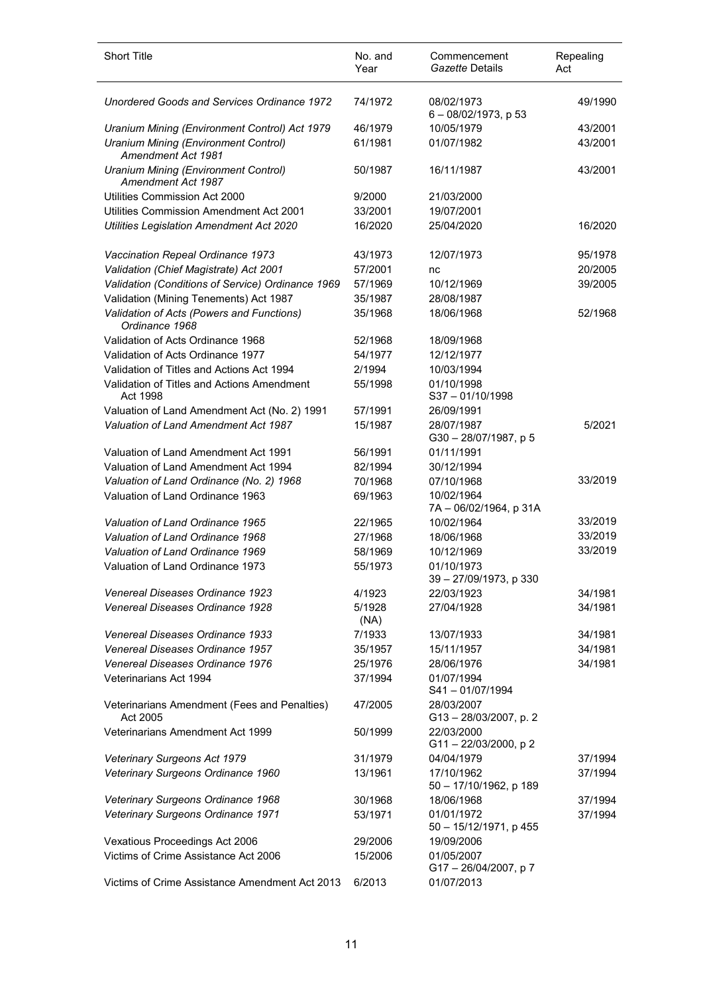| <b>Short Title</b>                                          | No. and<br>Year | Commencement<br>Gazette Details         | Repealing<br>Act |
|-------------------------------------------------------------|-----------------|-----------------------------------------|------------------|
| Unordered Goods and Services Ordinance 1972                 | 74/1972         | 08/02/1973<br>$6 - 08/02/1973$ , p 53   | 49/1990          |
| Uranium Mining (Environment Control) Act 1979               | 46/1979         | 10/05/1979                              | 43/2001          |
| Uranium Mining (Environment Control)<br>Amendment Act 1981  | 61/1981         | 01/07/1982                              | 43/2001          |
| Uranium Mining (Environment Control)<br>Amendment Act 1987  | 50/1987         | 16/11/1987                              | 43/2001          |
| Utilities Commission Act 2000                               | 9/2000          | 21/03/2000                              |                  |
| Utilities Commission Amendment Act 2001                     | 33/2001         | 19/07/2001                              |                  |
| Utilities Legislation Amendment Act 2020                    | 16/2020         | 25/04/2020                              | 16/2020          |
| Vaccination Repeal Ordinance 1973                           | 43/1973         | 12/07/1973                              | 95/1978          |
| Validation (Chief Magistrate) Act 2001                      | 57/2001         | nc                                      | 20/2005          |
| Validation (Conditions of Service) Ordinance 1969           | 57/1969         | 10/12/1969                              | 39/2005          |
| Validation (Mining Tenements) Act 1987                      | 35/1987         | 28/08/1987                              |                  |
| Validation of Acts (Powers and Functions)<br>Ordinance 1968 | 35/1968         | 18/06/1968                              | 52/1968          |
| Validation of Acts Ordinance 1968                           | 52/1968         | 18/09/1968                              |                  |
| Validation of Acts Ordinance 1977                           | 54/1977         | 12/12/1977                              |                  |
| Validation of Titles and Actions Act 1994                   | 2/1994          | 10/03/1994                              |                  |
| Validation of Titles and Actions Amendment<br>Act 1998      | 55/1998         | 01/10/1998<br>$S37 - 01/10/1998$        |                  |
| Valuation of Land Amendment Act (No. 2) 1991                | 57/1991         | 26/09/1991                              |                  |
| Valuation of Land Amendment Act 1987                        | 15/1987         | 28/07/1987<br>G30-28/07/1987, p 5       | 5/2021           |
| Valuation of Land Amendment Act 1991                        | 56/1991         | 01/11/1991                              |                  |
| Valuation of Land Amendment Act 1994                        | 82/1994         | 30/12/1994                              |                  |
| Valuation of Land Ordinance (No. 2) 1968                    | 70/1968         | 07/10/1968                              | 33/2019          |
| Valuation of Land Ordinance 1963                            | 69/1963         | 10/02/1964<br>7A - 06/02/1964, p 31A    |                  |
| Valuation of Land Ordinance 1965                            | 22/1965         | 10/02/1964                              | 33/2019          |
| Valuation of Land Ordinance 1968                            | 27/1968         | 18/06/1968                              | 33/2019          |
| Valuation of Land Ordinance 1969                            | 58/1969         | 10/12/1969                              | 33/2019          |
| Valuation of Land Ordinance 1973                            | 55/1973         | 01/10/1973<br>39 - 27/09/1973, p 330    |                  |
| Venereal Diseases Ordinance 1923                            | 4/1923          | 22/03/1923                              | 34/1981          |
| Venereal Diseases Ordinance 1928                            | 5/1928<br>(NA)  | 27/04/1928                              | 34/1981          |
| Venereal Diseases Ordinance 1933                            | 7/1933          | 13/07/1933                              | 34/1981          |
| Venereal Diseases Ordinance 1957                            | 35/1957         | 15/11/1957                              | 34/1981          |
| Venereal Diseases Ordinance 1976                            | 25/1976         | 28/06/1976                              | 34/1981          |
| Veterinarians Act 1994                                      | 37/1994         | 01/07/1994<br>$S41 - 01/07/1994$        |                  |
| Veterinarians Amendment (Fees and Penalties)<br>Act 2005    | 47/2005         | 28/03/2007<br>G13-28/03/2007, p. 2      |                  |
| Veterinarians Amendment Act 1999                            | 50/1999         | 22/03/2000<br>G11-22/03/2000, p2        |                  |
| Veterinary Surgeons Act 1979                                | 31/1979         | 04/04/1979                              | 37/1994          |
| Veterinary Surgeons Ordinance 1960                          | 13/1961         | 17/10/1962<br>50 - 17/10/1962, p 189    | 37/1994          |
| Veterinary Surgeons Ordinance 1968                          | 30/1968         | 18/06/1968                              | 37/1994          |
| <b>Veterinary Surgeons Ordinance 1971</b>                   | 53/1971         | 01/01/1972<br>$50 - 15/12/1971$ , p 455 | 37/1994          |
| Vexatious Proceedings Act 2006                              | 29/2006         | 19/09/2006                              |                  |
| Victims of Crime Assistance Act 2006                        | 15/2006         | 01/05/2007<br>G17-26/04/2007, p7        |                  |
| Victims of Crime Assistance Amendment Act 2013              | 6/2013          | 01/07/2013                              |                  |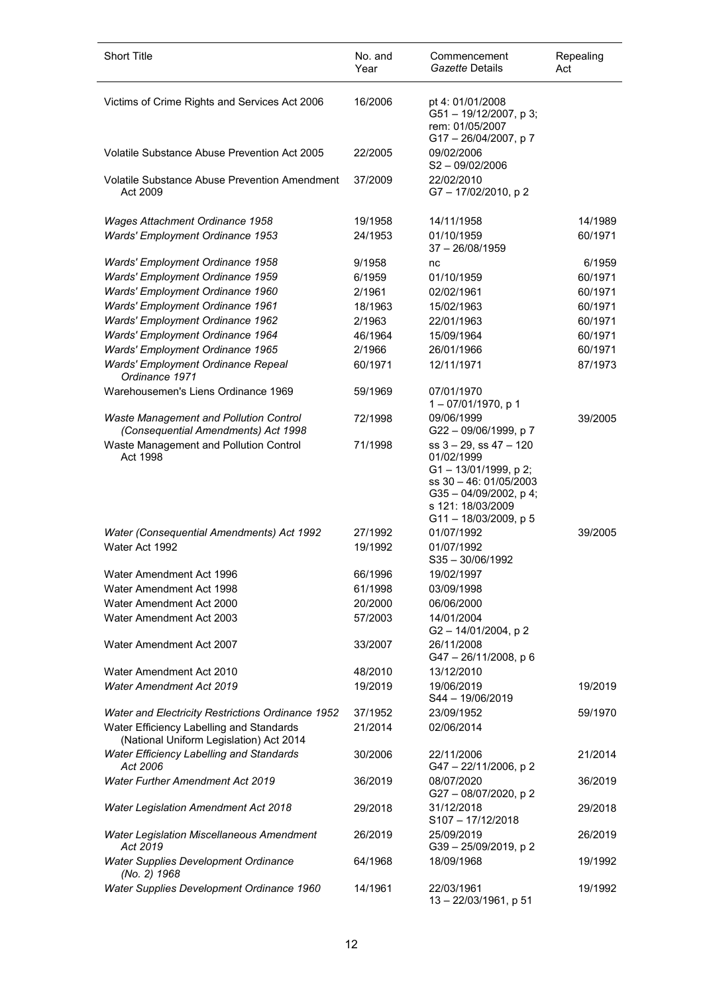| <b>Short Title</b>                                                                  | No. and<br>Year | Commencement<br>Gazette Details                                                                                                                           | Repealing<br>Act |
|-------------------------------------------------------------------------------------|-----------------|-----------------------------------------------------------------------------------------------------------------------------------------------------------|------------------|
| Victims of Crime Rights and Services Act 2006                                       | 16/2006         | pt 4: 01/01/2008<br>G51-19/12/2007, p3;<br>rem: 01/05/2007<br>G17-26/04/2007, p7                                                                          |                  |
| <b>Volatile Substance Abuse Prevention Act 2005</b>                                 | 22/2005         | 09/02/2006<br>$S2 - 09/02/2006$                                                                                                                           |                  |
| <b>Volatile Substance Abuse Prevention Amendment</b><br>Act 2009                    | 37/2009         | 22/02/2010<br>G7-17/02/2010, p2                                                                                                                           |                  |
| Wages Attachment Ordinance 1958                                                     | 19/1958         | 14/11/1958                                                                                                                                                | 14/1989          |
| Wards' Employment Ordinance 1953                                                    | 24/1953         | 01/10/1959<br>$37 - 26/08/1959$                                                                                                                           | 60/1971          |
| Wards' Employment Ordinance 1958                                                    | 9/1958          | nc                                                                                                                                                        | 6/1959           |
| Wards' Employment Ordinance 1959                                                    | 6/1959          | 01/10/1959                                                                                                                                                | 60/1971          |
| Wards' Employment Ordinance 1960                                                    | 2/1961          | 02/02/1961                                                                                                                                                | 60/1971          |
| Wards' Employment Ordinance 1961                                                    | 18/1963         | 15/02/1963                                                                                                                                                | 60/1971          |
| Wards' Employment Ordinance 1962                                                    | 2/1963          | 22/01/1963                                                                                                                                                | 60/1971          |
| Wards' Employment Ordinance 1964                                                    | 46/1964         | 15/09/1964                                                                                                                                                | 60/1971          |
| Wards' Employment Ordinance 1965                                                    | 2/1966          | 26/01/1966                                                                                                                                                | 60/1971          |
| Wards' Employment Ordinance Repeal<br>Ordinance 1971                                | 60/1971         | 12/11/1971                                                                                                                                                | 87/1973          |
| Warehousemen's Liens Ordinance 1969                                                 | 59/1969         | 07/01/1970<br>$1 - 07/01/1970$ , p 1                                                                                                                      |                  |
| Waste Management and Pollution Control<br>(Consequential Amendments) Act 1998       | 72/1998         | 09/06/1999<br>G22-09/06/1999, p7                                                                                                                          | 39/2005          |
| Waste Management and Pollution Control<br>Act 1998                                  | 71/1998         | $ss$ 3 – 29, ss 47 – 120<br>01/02/1999<br>G1-13/01/1999, p2;<br>ss 30 - 46: 01/05/2003<br>G35-04/09/2002, p4;<br>s 121: 18/03/2009<br>G11-18/03/2009, p 5 |                  |
| Water (Consequential Amendments) Act 1992                                           | 27/1992         | 01/07/1992                                                                                                                                                | 39/2005          |
| Water Act 1992                                                                      | 19/1992         | 01/07/1992<br>$S35 - 30/06/1992$                                                                                                                          |                  |
| Water Amendment Act 1996                                                            | 66/1996         | 19/02/1997                                                                                                                                                |                  |
| Water Amendment Act 1998                                                            | 61/1998         | 03/09/1998                                                                                                                                                |                  |
| Water Amendment Act 2000                                                            | 20/2000         | 06/06/2000                                                                                                                                                |                  |
| Water Amendment Act 2003                                                            | 57/2003         | 14/01/2004<br>G2-14/01/2004, p2                                                                                                                           |                  |
| Water Amendment Act 2007                                                            | 33/2007         | 26/11/2008<br>$G47 - 26/11/2008$ , p 6                                                                                                                    |                  |
| Water Amendment Act 2010                                                            | 48/2010         | 13/12/2010                                                                                                                                                |                  |
| <b>Water Amendment Act 2019</b>                                                     | 19/2019         | 19/06/2019<br>S44 - 19/06/2019                                                                                                                            | 19/2019          |
| Water and Electricity Restrictions Ordinance 1952                                   | 37/1952         | 23/09/1952                                                                                                                                                | 59/1970          |
| Water Efficiency Labelling and Standards<br>(National Uniform Legislation) Act 2014 | 21/2014         | 02/06/2014                                                                                                                                                |                  |
| <b>Water Efficiency Labelling and Standards</b><br>Act 2006                         | 30/2006         | 22/11/2006<br>G47-22/11/2006, p2                                                                                                                          | 21/2014          |
| <b>Water Further Amendment Act 2019</b>                                             | 36/2019         | 08/07/2020<br>G27-08/07/2020, p2                                                                                                                          | 36/2019          |
| <b>Water Legislation Amendment Act 2018</b>                                         | 29/2018         | 31/12/2018<br>$S107 - 17/12/2018$                                                                                                                         | 29/2018          |
| <b>Water Legislation Miscellaneous Amendment</b><br>Act 2019                        | 26/2019         | 25/09/2019<br>G39-25/09/2019, p2                                                                                                                          | 26/2019          |
| <b>Water Supplies Development Ordinance</b><br>(No. 2) 1968                         | 64/1968         | 18/09/1968                                                                                                                                                | 19/1992          |
| Water Supplies Development Ordinance 1960                                           | 14/1961         | 22/03/1961<br>13 - 22/03/1961, p 51                                                                                                                       | 19/1992          |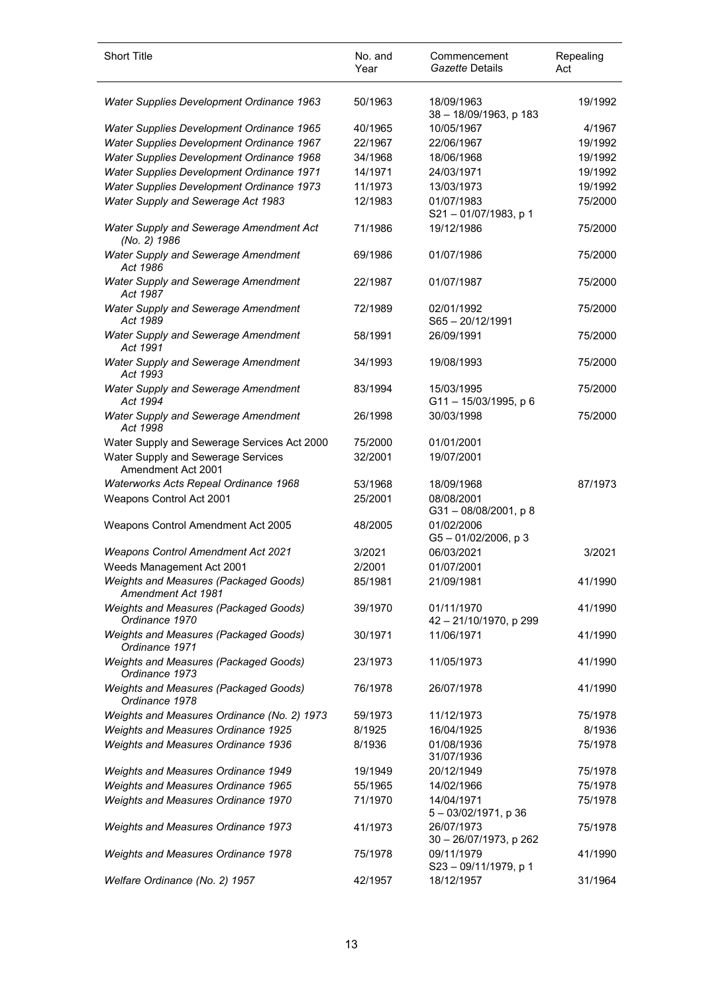| <b>Short Title</b>                                          | No. and<br>Year | Commencement<br>Gazette Details        | Repealing<br>Act |
|-------------------------------------------------------------|-----------------|----------------------------------------|------------------|
| Water Supplies Development Ordinance 1963                   | 50/1963         | 18/09/1963<br>38 - 18/09/1963, p 183   | 19/1992          |
| Water Supplies Development Ordinance 1965                   | 40/1965         | 10/05/1967                             | 4/1967           |
| Water Supplies Development Ordinance 1967                   | 22/1967         | 22/06/1967                             | 19/1992          |
| Water Supplies Development Ordinance 1968                   | 34/1968         | 18/06/1968                             | 19/1992          |
| Water Supplies Development Ordinance 1971                   | 14/1971         | 24/03/1971                             | 19/1992          |
|                                                             |                 |                                        |                  |
| Water Supplies Development Ordinance 1973                   | 11/1973         | 13/03/1973                             | 19/1992          |
| Water Supply and Sewerage Act 1983                          | 12/1983         | 01/07/1983<br>S21-01/07/1983, p 1      | 75/2000          |
| Water Supply and Sewerage Amendment Act<br>(No. 2) 1986     | 71/1986         | 19/12/1986                             | 75/2000          |
| Water Supply and Sewerage Amendment<br>Act 1986             | 69/1986         | 01/07/1986                             | 75/2000          |
| Water Supply and Sewerage Amendment<br>Act 1987             | 22/1987         | 01/07/1987                             | 75/2000          |
| Water Supply and Sewerage Amendment<br>Act 1989             | 72/1989         | 02/01/1992<br>S65-20/12/1991           | 75/2000          |
| Water Supply and Sewerage Amendment<br>Act 1991             | 58/1991         | 26/09/1991                             | 75/2000          |
| Water Supply and Sewerage Amendment<br>Act 1993             | 34/1993         | 19/08/1993                             | 75/2000          |
| Water Supply and Sewerage Amendment<br>Act 1994             | 83/1994         | 15/03/1995<br>G11-15/03/1995, p 6      | 75/2000          |
| <b>Water Supply and Sewerage Amendment</b><br>Act 1998      | 26/1998         | 30/03/1998                             | 75/2000          |
| Water Supply and Sewerage Services Act 2000                 | 75/2000         | 01/01/2001                             |                  |
| Water Supply and Sewerage Services<br>Amendment Act 2001    | 32/2001         | 19/07/2001                             |                  |
| Waterworks Acts Repeal Ordinance 1968                       | 53/1968         | 18/09/1968                             | 87/1973          |
| Weapons Control Act 2001                                    | 25/2001         | 08/08/2001<br>$G31 - 08/08/2001$ , p 8 |                  |
| Weapons Control Amendment Act 2005                          | 48/2005         | 01/02/2006<br>G5-01/02/2006, p3        |                  |
| <b>Weapons Control Amendment Act 2021</b>                   | 3/2021          | 06/03/2021                             | 3/2021           |
|                                                             | 2/2001          | 01/07/2001                             |                  |
| Weeds Management Act 2001                                   |                 |                                        |                  |
| Weights and Measures (Packaged Goods)<br>Amendment Act 1981 | 85/1981         | 21/09/1981                             | 41/1990          |
| Weights and Measures (Packaged Goods)<br>Ordinance 1970     | 39/1970         | 01/11/1970<br>42 - 21/10/1970, p 299   | 41/1990          |
| Weights and Measures (Packaged Goods)<br>Ordinance 1971     | 30/1971         | 11/06/1971                             | 41/1990          |
| Weights and Measures (Packaged Goods)<br>Ordinance 1973     | 23/1973         | 11/05/1973                             | 41/1990          |
| Weights and Measures (Packaged Goods)<br>Ordinance 1978     | 76/1978         | 26/07/1978                             | 41/1990          |
| Weights and Measures Ordinance (No. 2) 1973                 | 59/1973         | 11/12/1973                             | 75/1978          |
| Weights and Measures Ordinance 1925                         | 8/1925          | 16/04/1925                             | 8/1936           |
| <b>Weights and Measures Ordinance 1936</b>                  | 8/1936          | 01/08/1936<br>31/07/1936               | 75/1978          |
| Weights and Measures Ordinance 1949                         | 19/1949         | 20/12/1949                             | 75/1978          |
| Weights and Measures Ordinance 1965                         | 55/1965         | 14/02/1966                             | 75/1978          |
| Weights and Measures Ordinance 1970                         | 71/1970         | 14/04/1971<br>$5 - 03/02/1971$ , p 36  | 75/1978          |
| <b>Weights and Measures Ordinance 1973</b>                  | 41/1973         | 26/07/1973<br>30 - 26/07/1973, p 262   | 75/1978          |
| <b>Weights and Measures Ordinance 1978</b>                  | 75/1978         | 09/11/1979<br>S23-09/11/1979, p 1      | 41/1990          |
| Welfare Ordinance (No. 2) 1957                              | 42/1957         | 18/12/1957                             | 31/1964          |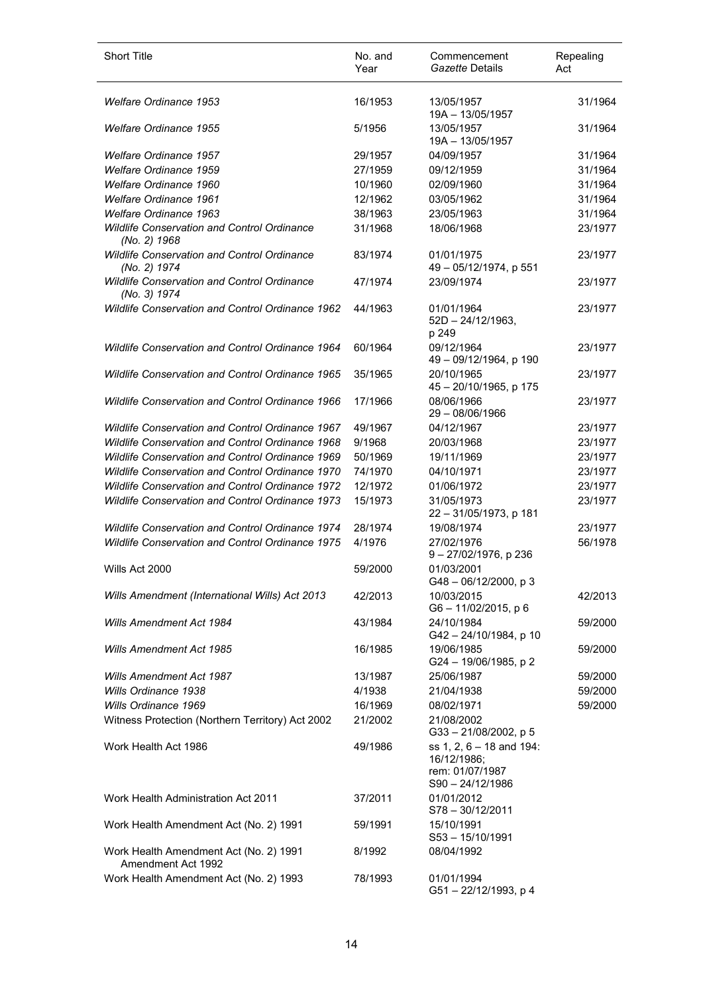| <b>Short Title</b>                                                 | No. and<br>Year | Commencement<br>Gazette Details                                                  | Repealing<br>Act |
|--------------------------------------------------------------------|-----------------|----------------------------------------------------------------------------------|------------------|
| Welfare Ordinance 1953                                             | 16/1953         | 13/05/1957<br>19A - 13/05/1957                                                   | 31/1964          |
| <b>Welfare Ordinance 1955</b>                                      | 5/1956          | 13/05/1957<br>19A - 13/05/1957                                                   | 31/1964          |
| <b>Welfare Ordinance 1957</b>                                      | 29/1957         | 04/09/1957                                                                       | 31/1964          |
| <b>Welfare Ordinance 1959</b>                                      | 27/1959         | 09/12/1959                                                                       | 31/1964          |
| Welfare Ordinance 1960                                             | 10/1960         | 02/09/1960                                                                       | 31/1964          |
| <b>Welfare Ordinance 1961</b>                                      | 12/1962         | 03/05/1962                                                                       | 31/1964          |
| <b>Welfare Ordinance 1963</b>                                      | 38/1963         | 23/05/1963                                                                       | 31/1964          |
| Wildlife Conservation and Control Ordinance<br>(No. 2) 1968        | 31/1968         | 18/06/1968                                                                       | 23/1977          |
| <b>Wildlife Conservation and Control Ordinance</b><br>(No. 2) 1974 | 83/1974         | 01/01/1975<br>49 - 05/12/1974, p 551                                             | 23/1977          |
| Wildlife Conservation and Control Ordinance<br>(No. 3) 1974        | 47/1974         | 23/09/1974                                                                       | 23/1977          |
| <b>Wildlife Conservation and Control Ordinance 1962</b>            | 44/1963         | 01/01/1964<br>$52D - 24/12/1963$ ,<br>p 249                                      | 23/1977          |
| Wildlife Conservation and Control Ordinance 1964                   | 60/1964         | 09/12/1964<br>49 - 09/12/1964, p 190                                             | 23/1977          |
| <b>Wildlife Conservation and Control Ordinance 1965</b>            | 35/1965         | 20/10/1965<br>45 - 20/10/1965, p 175                                             | 23/1977          |
| Wildlife Conservation and Control Ordinance 1966                   | 17/1966         | 08/06/1966<br>$29 - 08/06/1966$                                                  | 23/1977          |
| <b>Wildlife Conservation and Control Ordinance 1967</b>            | 49/1967         | 04/12/1967                                                                       | 23/1977          |
| <b>Wildlife Conservation and Control Ordinance 1968</b>            | 9/1968          | 20/03/1968                                                                       | 23/1977          |
| <b>Wildlife Conservation and Control Ordinance 1969</b>            | 50/1969         | 19/11/1969                                                                       | 23/1977          |
| <b>Wildlife Conservation and Control Ordinance 1970</b>            | 74/1970         | 04/10/1971                                                                       | 23/1977          |
| <b>Wildlife Conservation and Control Ordinance 1972</b>            | 12/1972         | 01/06/1972                                                                       | 23/1977          |
| Wildlife Conservation and Control Ordinance 1973                   | 15/1973         | 31/05/1973<br>22 - 31/05/1973, p 181                                             | 23/1977          |
| <b>Wildlife Conservation and Control Ordinance 1974</b>            | 28/1974         | 19/08/1974                                                                       | 23/1977          |
| <b>Wildlife Conservation and Control Ordinance 1975</b>            | 4/1976          | 27/02/1976<br>$9 - 27/02/1976$ , p 236                                           | 56/1978          |
| Wills Act 2000                                                     | 59/2000         | 01/03/2001<br>G48-06/12/2000, p3                                                 |                  |
| Wills Amendment (International Wills) Act 2013                     | 42/2013         | 10/03/2015<br>G6-11/02/2015, p 6                                                 | 42/2013          |
| Wills Amendment Act 1984                                           | 43/1984         | 24/10/1984<br>G42 - 24/10/1984, p 10                                             | 59/2000          |
| <b>Wills Amendment Act 1985</b>                                    | 16/1985         | 19/06/1985<br>G24 - 19/06/1985, p 2                                              | 59/2000          |
| <b>Wills Amendment Act 1987</b>                                    | 13/1987         | 25/06/1987                                                                       | 59/2000          |
| Wills Ordinance 1938                                               | 4/1938          | 21/04/1938                                                                       | 59/2000          |
| Wills Ordinance 1969                                               | 16/1969         | 08/02/1971                                                                       | 59/2000          |
| Witness Protection (Northern Territory) Act 2002                   | 21/2002         | 21/08/2002<br>G33-21/08/2002, p 5                                                |                  |
| Work Health Act 1986                                               | 49/1986         | ss 1, 2, 6 - 18 and 194:<br>16/12/1986;<br>rem: 01/07/1987<br>$S90 - 24/12/1986$ |                  |
| Work Health Administration Act 2011                                | 37/2011         | 01/01/2012<br>S78-30/12/2011                                                     |                  |
| Work Health Amendment Act (No. 2) 1991                             | 59/1991         | 15/10/1991<br>$S53 - 15/10/1991$                                                 |                  |
| Work Health Amendment Act (No. 2) 1991<br>Amendment Act 1992       | 8/1992          | 08/04/1992                                                                       |                  |
| Work Health Amendment Act (No. 2) 1993                             | 78/1993         | 01/01/1994<br>G51-22/12/1993, p4                                                 |                  |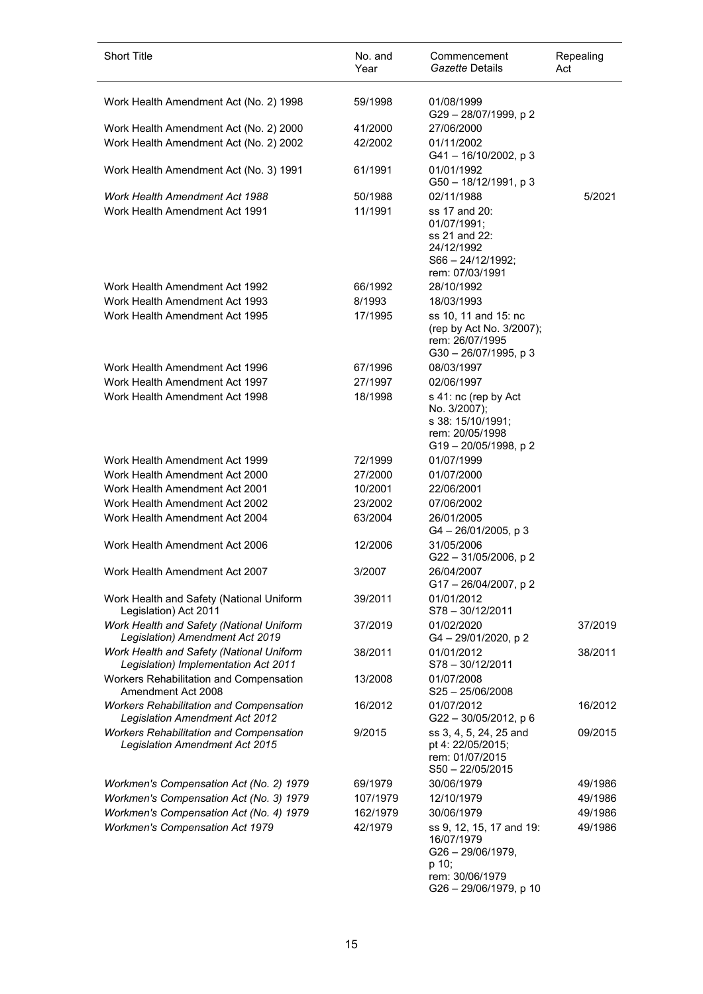| <b>Short Title</b>                                                                      | No. and<br>Year    | Commencement<br>Gazette Details                                                                                     | Repealing<br>Act |
|-----------------------------------------------------------------------------------------|--------------------|---------------------------------------------------------------------------------------------------------------------|------------------|
| Work Health Amendment Act (No. 2) 1998                                                  | 59/1998            | 01/08/1999<br>G29-28/07/1999, p2                                                                                    |                  |
| Work Health Amendment Act (No. 2) 2000<br>Work Health Amendment Act (No. 2) 2002        | 41/2000<br>42/2002 | 27/06/2000<br>01/11/2002                                                                                            |                  |
| Work Health Amendment Act (No. 3) 1991                                                  | 61/1991            | $G41 - 16/10/2002$ , p 3<br>01/01/1992                                                                              |                  |
|                                                                                         |                    | G50 - 18/12/1991, p 3                                                                                               |                  |
| Work Health Amendment Act 1988<br>Work Health Amendment Act 1991                        | 50/1988<br>11/1991 | 02/11/1988<br>ss 17 and 20:<br>01/07/1991;<br>ss 21 and 22:<br>24/12/1992<br>$S66 - 24/12/1992;$<br>rem: 07/03/1991 | 5/2021           |
| Work Health Amendment Act 1992                                                          | 66/1992            | 28/10/1992                                                                                                          |                  |
| Work Health Amendment Act 1993                                                          | 8/1993             | 18/03/1993                                                                                                          |                  |
| Work Health Amendment Act 1995                                                          | 17/1995            | ss 10, 11 and 15: nc<br>(rep by Act No. 3/2007);<br>rem: 26/07/1995<br>$G30 - 26/07/1995$ , p 3                     |                  |
| Work Health Amendment Act 1996                                                          | 67/1996            | 08/03/1997                                                                                                          |                  |
| Work Health Amendment Act 1997                                                          | 27/1997            | 02/06/1997                                                                                                          |                  |
| Work Health Amendment Act 1998                                                          | 18/1998            | s 41: nc (rep by Act<br>No. 3/2007);<br>s 38: 15/10/1991;<br>rem: 20/05/1998<br>G19-20/05/1998, p2                  |                  |
| Work Health Amendment Act 1999                                                          | 72/1999            | 01/07/1999                                                                                                          |                  |
| Work Health Amendment Act 2000                                                          | 27/2000            | 01/07/2000                                                                                                          |                  |
| Work Health Amendment Act 2001                                                          | 10/2001            | 22/06/2001                                                                                                          |                  |
| Work Health Amendment Act 2002<br>Work Health Amendment Act 2004                        | 23/2002            | 07/06/2002                                                                                                          |                  |
|                                                                                         | 63/2004            | 26/01/2005<br>$G4 - 26/01/2005$ , p 3                                                                               |                  |
| Work Health Amendment Act 2006                                                          | 12/2006            | 31/05/2006<br>G22-31/05/2006, p2                                                                                    |                  |
| Work Health Amendment Act 2007                                                          | 3/2007             | 26/04/2007<br>G17 - 26/04/2007, p 2                                                                                 |                  |
| Work Health and Safety (National Uniform<br>Legislation) Act 2011                       | 39/2011            | 01/01/2012<br>$S78 - 30/12/2011$                                                                                    |                  |
| Work Health and Safety (National Uniform<br>Legislation) Amendment Act 2019             | 37/2019            | 01/02/2020<br>G4 - 29/01/2020, p 2                                                                                  | 37/2019          |
| Work Health and Safety (National Uniform<br>Legislation) Implementation Act 2011        | 38/2011            | 01/01/2012<br>S78-30/12/2011                                                                                        | 38/2011          |
| Workers Rehabilitation and Compensation<br>Amendment Act 2008                           | 13/2008            | 01/07/2008<br>$S25 - 25/06/2008$                                                                                    |                  |
| <b>Workers Rehabilitation and Compensation</b><br><b>Legislation Amendment Act 2012</b> | 16/2012            | 01/07/2012<br>G22-30/05/2012, p 6                                                                                   | 16/2012          |
| <b>Workers Rehabilitation and Compensation</b><br>Legislation Amendment Act 2015        | 9/2015             | ss 3, 4, 5, 24, 25 and<br>pt 4: 22/05/2015;<br>rem: 01/07/2015<br>$S50 - 22/05/2015$                                | 09/2015          |
| Workmen's Compensation Act (No. 2) 1979                                                 | 69/1979            | 30/06/1979                                                                                                          | 49/1986          |
| Workmen's Compensation Act (No. 3) 1979                                                 | 107/1979           | 12/10/1979                                                                                                          | 49/1986          |
| Workmen's Compensation Act (No. 4) 1979                                                 | 162/1979           | 30/06/1979                                                                                                          | 49/1986          |
| <b>Workmen's Compensation Act 1979</b>                                                  | 42/1979            | ss 9, 12, 15, 17 and 19:<br>16/07/1979<br>G26-29/06/1979,<br>p 10;<br>rem: 30/06/1979<br>G26 - 29/06/1979, p 10     | 49/1986          |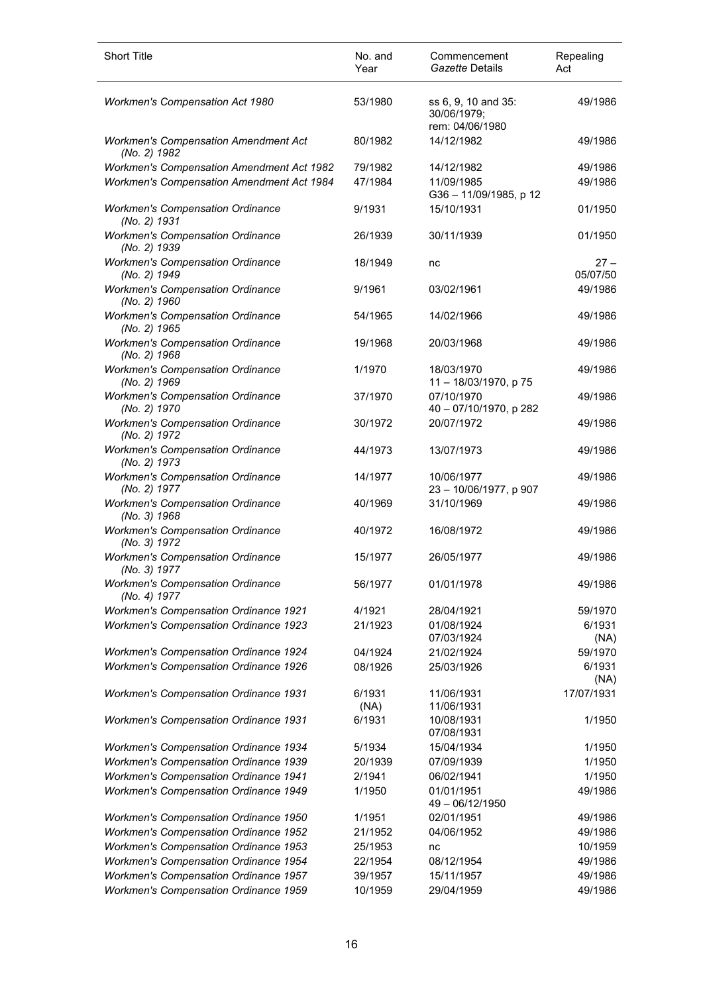| <b>Short Title</b>                                                                           | No. and<br>Year | Commencement<br>Gazette Details                       | Repealing<br>Act   |
|----------------------------------------------------------------------------------------------|-----------------|-------------------------------------------------------|--------------------|
| <b>Workmen's Compensation Act 1980</b>                                                       | 53/1980         | ss 6, 9, 10 and 35:<br>30/06/1979;<br>rem: 04/06/1980 | 49/1986            |
| <b>Workmen's Compensation Amendment Act</b><br>(No. 2) 1982                                  | 80/1982         | 14/12/1982                                            | 49/1986            |
| Workmen's Compensation Amendment Act 1982                                                    | 79/1982         | 14/12/1982                                            | 49/1986            |
| Workmen's Compensation Amendment Act 1984                                                    | 47/1984         | 11/09/1985<br>G36-11/09/1985, p 12                    | 49/1986            |
| <b>Workmen's Compensation Ordinance</b><br>(No. 2) 1931                                      | 9/1931          | 15/10/1931                                            | 01/1950            |
| <b>Workmen's Compensation Ordinance</b><br>(No. 2) 1939                                      | 26/1939         | 30/11/1939                                            | 01/1950            |
| <b>Workmen's Compensation Ordinance</b><br>(No. 2) 1949                                      | 18/1949         | nc                                                    | $27 -$<br>05/07/50 |
| <b>Workmen's Compensation Ordinance</b><br>(No. 2) 1960                                      | 9/1961          | 03/02/1961                                            | 49/1986            |
| <b>Workmen's Compensation Ordinance</b><br>(No. 2) 1965                                      | 54/1965         | 14/02/1966                                            | 49/1986            |
| <b>Workmen's Compensation Ordinance</b><br>(No. 2) 1968                                      | 19/1968         | 20/03/1968                                            | 49/1986            |
| <b>Workmen's Compensation Ordinance</b><br>(No. 2) 1969                                      | 1/1970          | 18/03/1970<br>11-18/03/1970, p 75                     | 49/1986            |
| <b>Workmen's Compensation Ordinance</b><br>(No. 2) 1970                                      | 37/1970         | 07/10/1970<br>40 - 07/10/1970, p 282                  | 49/1986            |
| <b>Workmen's Compensation Ordinance</b><br>(No. 2) 1972                                      | 30/1972         | 20/07/1972                                            | 49/1986            |
| <b>Workmen's Compensation Ordinance</b><br>(No. 2) 1973                                      | 44/1973         | 13/07/1973                                            | 49/1986            |
| <b>Workmen's Compensation Ordinance</b><br>(No. 2) 1977                                      | 14/1977         | 10/06/1977<br>23 - 10/06/1977, p 907                  | 49/1986            |
| <b>Workmen's Compensation Ordinance</b><br>(No. 3) 1968                                      | 40/1969         | 31/10/1969                                            | 49/1986            |
| <b>Workmen's Compensation Ordinance</b><br>(No. 3) 1972                                      | 40/1972         | 16/08/1972                                            | 49/1986            |
| <b>Workmen's Compensation Ordinance</b><br>(No. 3) 1977                                      | 15/1977         | 26/05/1977                                            | 49/1986            |
| <b>Workmen's Compensation Ordinance</b><br>(No. 4) 1977                                      | 56/1977         | 01/01/1978                                            | 49/1986            |
| <b>Workmen's Compensation Ordinance 1921</b>                                                 | 4/1921          | 28/04/1921                                            | 59/1970            |
| <b>Workmen's Compensation Ordinance 1923</b>                                                 | 21/1923         | 01/08/1924                                            | 6/1931             |
|                                                                                              |                 | 07/03/1924                                            | (NA)               |
| <b>Workmen's Compensation Ordinance 1924</b><br><b>Workmen's Compensation Ordinance 1926</b> | 04/1924         | 21/02/1924                                            | 59/1970<br>6/1931  |
|                                                                                              | 08/1926         | 25/03/1926                                            | (NA)               |
| <b>Workmen's Compensation Ordinance 1931</b>                                                 | 6/1931<br>(NA)  | 11/06/1931<br>11/06/1931                              | 17/07/1931         |
| <b>Workmen's Compensation Ordinance 1931</b>                                                 | 6/1931          | 10/08/1931<br>07/08/1931                              | 1/1950             |
| <b>Workmen's Compensation Ordinance 1934</b>                                                 | 5/1934          | 15/04/1934                                            | 1/1950             |
| <b>Workmen's Compensation Ordinance 1939</b>                                                 | 20/1939         | 07/09/1939                                            | 1/1950             |
| <b>Workmen's Compensation Ordinance 1941</b>                                                 | 2/1941          | 06/02/1941                                            | 1/1950             |
| <b>Workmen's Compensation Ordinance 1949</b>                                                 | 1/1950          | 01/01/1951<br>49 - 06/12/1950                         | 49/1986            |
| Workmen's Compensation Ordinance 1950                                                        | 1/1951          | 02/01/1951                                            | 49/1986            |
| <b>Workmen's Compensation Ordinance 1952</b>                                                 | 21/1952         | 04/06/1952                                            | 49/1986            |
| <b>Workmen's Compensation Ordinance 1953</b>                                                 | 25/1953         | nc                                                    | 10/1959            |
| <b>Workmen's Compensation Ordinance 1954</b>                                                 | 22/1954         | 08/12/1954                                            | 49/1986            |
| <b>Workmen's Compensation Ordinance 1957</b>                                                 | 39/1957         | 15/11/1957                                            | 49/1986            |
| <b>Workmen's Compensation Ordinance 1959</b>                                                 | 10/1959         | 29/04/1959                                            | 49/1986            |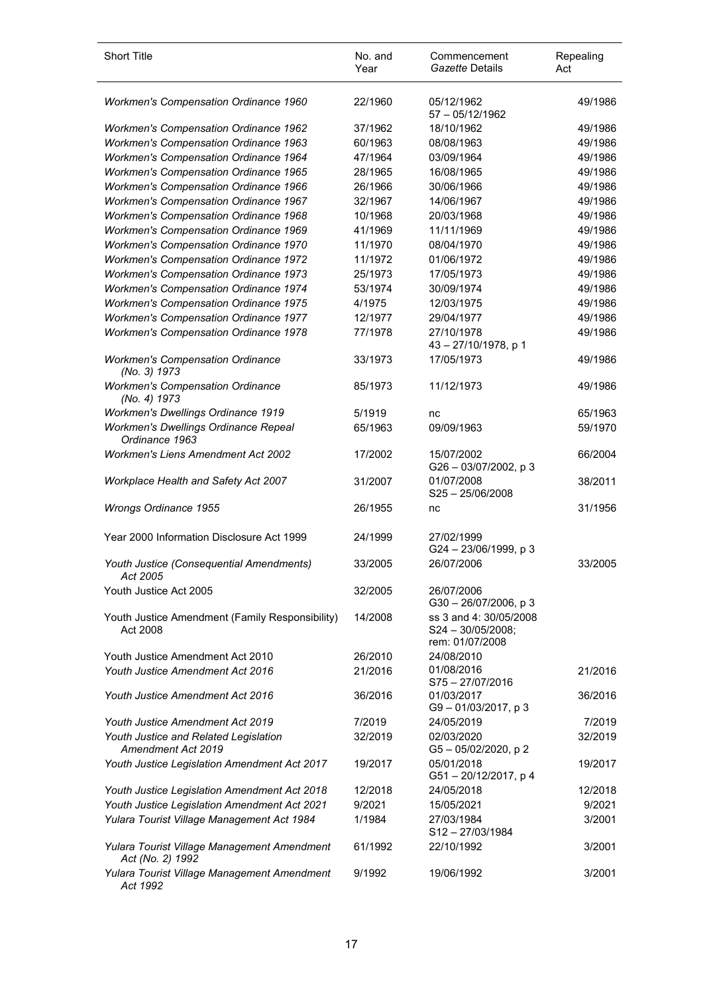| <b>Short Title</b>                                              | No. and<br>Year | Commencement<br>Gazette Details                                  | Repealing<br>Act |
|-----------------------------------------------------------------|-----------------|------------------------------------------------------------------|------------------|
| Workmen's Compensation Ordinance 1960                           | 22/1960         | 05/12/1962<br>$57 - 05/12/1962$                                  | 49/1986          |
| <b>Workmen's Compensation Ordinance 1962</b>                    | 37/1962         | 18/10/1962                                                       | 49/1986          |
| <b>Workmen's Compensation Ordinance 1963</b>                    | 60/1963         | 08/08/1963                                                       | 49/1986          |
| <b>Workmen's Compensation Ordinance 1964</b>                    | 47/1964         | 03/09/1964                                                       | 49/1986          |
| <b>Workmen's Compensation Ordinance 1965</b>                    | 28/1965         | 16/08/1965                                                       | 49/1986          |
| <b>Workmen's Compensation Ordinance 1966</b>                    | 26/1966         | 30/06/1966                                                       | 49/1986          |
| <b>Workmen's Compensation Ordinance 1967</b>                    | 32/1967         | 14/06/1967                                                       | 49/1986          |
| <b>Workmen's Compensation Ordinance 1968</b>                    | 10/1968         | 20/03/1968                                                       | 49/1986          |
| <b>Workmen's Compensation Ordinance 1969</b>                    | 41/1969         | 11/11/1969                                                       | 49/1986          |
| <b>Workmen's Compensation Ordinance 1970</b>                    | 11/1970         | 08/04/1970                                                       | 49/1986          |
| <b>Workmen's Compensation Ordinance 1972</b>                    | 11/1972         | 01/06/1972                                                       | 49/1986          |
| <b>Workmen's Compensation Ordinance 1973</b>                    | 25/1973         | 17/05/1973                                                       | 49/1986          |
| <b>Workmen's Compensation Ordinance 1974</b>                    | 53/1974         | 30/09/1974                                                       | 49/1986          |
| <b>Workmen's Compensation Ordinance 1975</b>                    | 4/1975          | 12/03/1975                                                       | 49/1986          |
| <b>Workmen's Compensation Ordinance 1977</b>                    | 12/1977         | 29/04/1977                                                       | 49/1986          |
| <b>Workmen's Compensation Ordinance 1978</b>                    | 77/1978         | 27/10/1978<br>43-27/10/1978, p 1                                 | 49/1986          |
| <b>Workmen's Compensation Ordinance</b><br>(No. 3) 1973         | 33/1973         | 17/05/1973                                                       | 49/1986          |
| <b>Workmen's Compensation Ordinance</b><br>(No. 4) 1973         | 85/1973         | 11/12/1973                                                       | 49/1986          |
| <b>Workmen's Dwellings Ordinance 1919</b>                       | 5/1919          | nc                                                               | 65/1963          |
| Workmen's Dwellings Ordinance Repeal<br>Ordinance 1963          | 65/1963         | 09/09/1963                                                       | 59/1970          |
| <b>Workmen's Liens Amendment Act 2002</b>                       | 17/2002         | 15/07/2002<br>G26 - 03/07/2002, p 3                              | 66/2004          |
| Workplace Health and Safety Act 2007                            | 31/2007         | 01/07/2008<br>$S25 - 25/06/2008$                                 | 38/2011          |
| Wrongs Ordinance 1955                                           | 26/1955         | nc                                                               | 31/1956          |
| Year 2000 Information Disclosure Act 1999                       | 24/1999         | 27/02/1999<br>G24 - 23/06/1999, p 3                              |                  |
| Youth Justice (Consequential Amendments)<br>ACI 2005            | 33/2005         | 26/07/2006                                                       | 33/2005          |
| Youth Justice Act 2005                                          | 32/2005         | 26/07/2006<br>$G30 - 26/07/2006$ , p 3                           |                  |
| Youth Justice Amendment (Family Responsibility)<br>Act 2008     | 14/2008         | ss 3 and 4: 30/05/2008<br>$S24 - 30/05/2008;$<br>rem: 01/07/2008 |                  |
| Youth Justice Amendment Act 2010                                | 26/2010         | 24/08/2010                                                       |                  |
| Youth Justice Amendment Act 2016                                | 21/2016         | 01/08/2016<br>S75-27/07/2016                                     | 21/2016          |
| Youth Justice Amendment Act 2016                                | 36/2016         | 01/03/2017<br>G9-01/03/2017, p3                                  | 36/2016          |
| Youth Justice Amendment Act 2019                                | 7/2019          | 24/05/2019                                                       | 7/2019           |
| Youth Justice and Related Legislation<br>Amendment Act 2019     | 32/2019         | 02/03/2020<br>G5-05/02/2020, p2                                  | 32/2019          |
| Youth Justice Legislation Amendment Act 2017                    | 19/2017         | 05/01/2018<br>G51-20/12/2017, p4                                 | 19/2017          |
| Youth Justice Legislation Amendment Act 2018                    | 12/2018         | 24/05/2018                                                       | 12/2018          |
| Youth Justice Legislation Amendment Act 2021                    | 9/2021          | 15/05/2021                                                       | 9/2021           |
| Yulara Tourist Village Management Act 1984                      | 1/1984          | 27/03/1984<br>S12-27/03/1984                                     | 3/2001           |
| Yulara Tourist Village Management Amendment<br>Act (No. 2) 1992 | 61/1992         | 22/10/1992                                                       | 3/2001           |
| Yulara Tourist Village Management Amendment<br>Act 1992         | 9/1992          | 19/06/1992                                                       | 3/2001           |